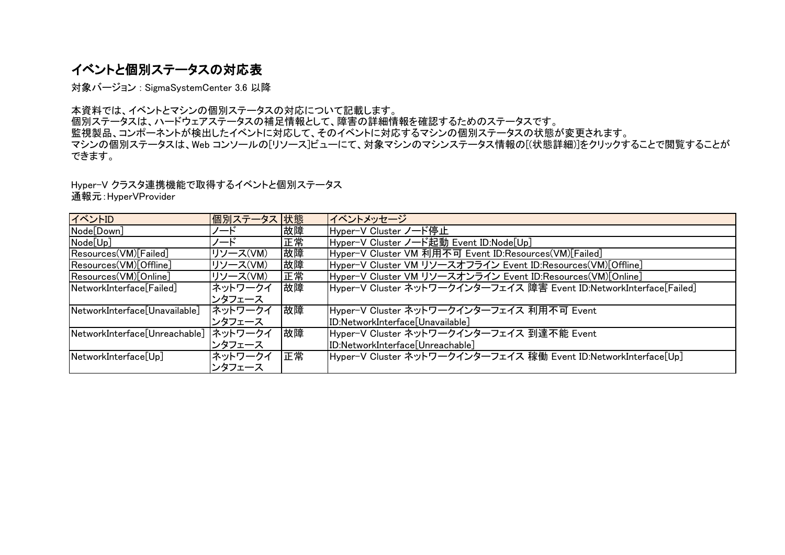# イベントと個別ステータスの対応表

対象バージョン : SigmaSystemCenter 3.6 以降

本資料では、イベントとマシンの個別ステータスの対応について記載します。 個別ステータスは、ハードウェアステータスの補足情報として、障害の詳細情報を確認するためのステータスです。 監視製品、コンポーネントが検出したイベントに対応して、そのイベントに対応するマシンの個別ステータスの状態が変更されます。 マシンの個別ステータスは、Web コンソールの[リソース]ビューにて、対象マシンのマシンステータス情報の[(状態詳細)]をクリックすることで閲覧することが できます。

Hyper-V クラスタ連携機能で取得するイベントと個別ステータス

通報元:HyperVProvider

| イベントID                                | 個別ステータス 状態 |    | イベントメッセージ                                                           |
|---------------------------------------|------------|----|---------------------------------------------------------------------|
| Node <sup>[Down]</sup>                | ′ード        | 故障 | Hyper−V Cluster ノード停止                                               |
| Node[Up]                              | ハード        | 正常 | Hyper-V Cluster ノード起動 Event ID:Node[Up]                             |
| Resources(VM)[Failed]                 | リソース(VM)   | 故障 | Hyper-V Cluster VM 利用不可 Event ID:Resources(VM)[Failed]              |
| Resources(VM)[Offline]                | リソース(VM)   | 故障 | Hyper-V Cluster VM リソースオフライン Event ID:Resources(VM)[Offline]        |
| Resources(VM)[Online]                 | リソース(VM)   | 正常 | Hyper-V Cluster VM リソースオンライン Event ID:Resources(VM)[Online]         |
| NetworkInterface[Failed]              | ネットワークイ    | 故障 | Hyper-V Cluster ネットワークインターフェイス 障害 Event ID:NetworkInterface[Failed] |
|                                       | ンタフェース     |    |                                                                     |
| NetworkInterface[Unavailable]         | ネットワークイ    | 故障 | Hyper-V Cluster ネットワークインターフェイス 利用不可 Event                           |
|                                       | ンタフェース     |    | [ID:NetworkInterface[Unavailable]                                   |
| NetworkInterface[Unreachable] ネットワークイ |            | 故障 | Hyper-V Cluster ネットワークインターフェイス 到達不能 Event                           |
|                                       | ンタフェース     |    | [ID:NetworkInterface[Unreachable]                                   |
| NetworkInterface[Up]                  | ネットワークイ    | 正常 | Hyper-V Cluster ネットワークインターフェイス 稼働 Event ID:NetworkInterface[Up]     |
|                                       | ンタフェース     |    |                                                                     |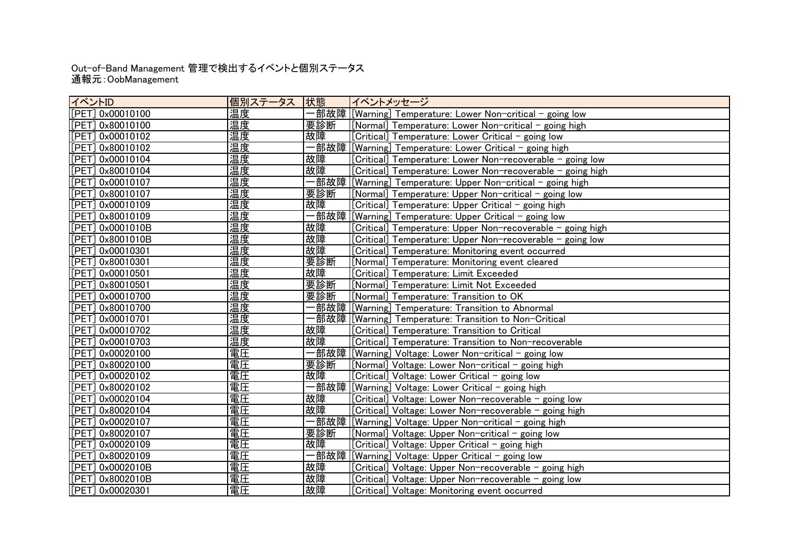### 通報元:OobManagement Out-of-Band Management 管理で検出するイベントと個別ステータス

| イベントID            | 個別ステータス  状態 |      | イベントメッセージ                                                  |
|-------------------|-------------|------|------------------------------------------------------------|
| [PET] 0x00010100  | <u> 温度</u>  |      |                                                            |
| [PET] 0x80010100  | 温度          | 要診断  | [Normal] Temperature: Lower Non-critical - going high      |
| [PET] 0x00010102  | 温度          | 故障   | [Critical] Temperature: Lower Critical - going low         |
| [PET] 0x80010102  | 温度          |      |                                                            |
| [PET] 0x00010104  | 温度          | 故障   | [Critical] Temperature: Lower Non-recoverable - going low  |
| [PET] 0x80010104  | 温度          | 故障   | [Critical] Temperature: Lower Non-recoverable - going high |
| [[PET] 0x00010107 | 温度          |      |                                                            |
| [PET] 0x80010107  | 温度          | 要診断  | [Normal] Temperature: Upper Non-critical - going low       |
| [PET] 0x00010109  | 温度          | 故障   | [Critical] Temperature: Upper Critical – going high        |
| [PET] 0x80010109  | 温度          |      |                                                            |
| [PET] 0x0001010B  | 温度          | 故障   | [Critical] Temperature: Upper Non-recoverable - going high |
| [[PET] 0x8001010B | 温度          | 故障   | [Critical] Temperature: Upper Non-recoverable - going low  |
| [[PET] 0x00010301 | 温度          | 故障   | [Critical] Temperature: Monitoring event occurred          |
| [PET] 0x80010301  | 温度          | 要診断  | [Normal] Temperature: Monitoring event cleared             |
| [PET] 0x00010501  | 温度          | 故障   | [Critical] Temperature: Limit Exceeded                     |
| [PET] 0x80010501  | 温度          | 要診断  | [Normal] Temperature: Limit Not Exceeded                   |
| [PET] 0x00010700  | 温度          | 要診断  | [Normal] Temperature: Transition to OK                     |
| [PET] 0x80010700  | 温度          |      |                                                            |
| [PET] 0x00010701  | 温度          |      |                                                            |
| [PET] 0x00010702  | 温度          | 故障   | [Critical] Temperature: Transition to Critical             |
| [PET] 0x00010703  | 温度          | 故障   | [Critical] Temperature: Transition to Non-recoverable      |
| [PET] 0x00020100  | 電圧          |      |                                                            |
| [PET] 0x80020100  | 電圧          | 要診断  | [Normal] Voltage: Lower Non-critical - going high          |
| [[PET] 0x00020102 | 電圧          | 故障   | [Critical] Voltage: Lower Critical – going low             |
| [PET] 0x80020102  | 電圧          |      |                                                            |
| [[PET] 0x00020104 | 電圧          | 故障   | [Critical] Voltage: Lower Non-recoverable - going low      |
| [PET] 0x80020104  | 電圧          | 故障   | [Critical] Voltage: Lower Non-recoverable - going high     |
| [PET] 0x00020107  | 電圧          |      |                                                            |
| [PET] 0x80020107  | 電圧          | 要診断  | [Normal] Vol <u>tage: Upper Non-critical – going low</u>   |
| [PET] 0x00020109  | 電圧          | 故障   | [Critical] Voltage: Upper Critical - going high            |
| [PET] 0x80020109  | 電圧          | ·部故障 | <u> [Warning] Voltage: Upper Critical – going low</u>      |
| [PET] 0x0002010B  | 電圧          | 故障   | Critical] Voltage: Upper Non-recoverable - going high      |
| [PET] 0x8002010B  | 電圧          | 故障   | Critical] Voltage: Upper Non-recoverable - going low       |
| [PET] 0x00020301  | 電圧          | 故障   | Critical] Voltage: Monitoring event occurred               |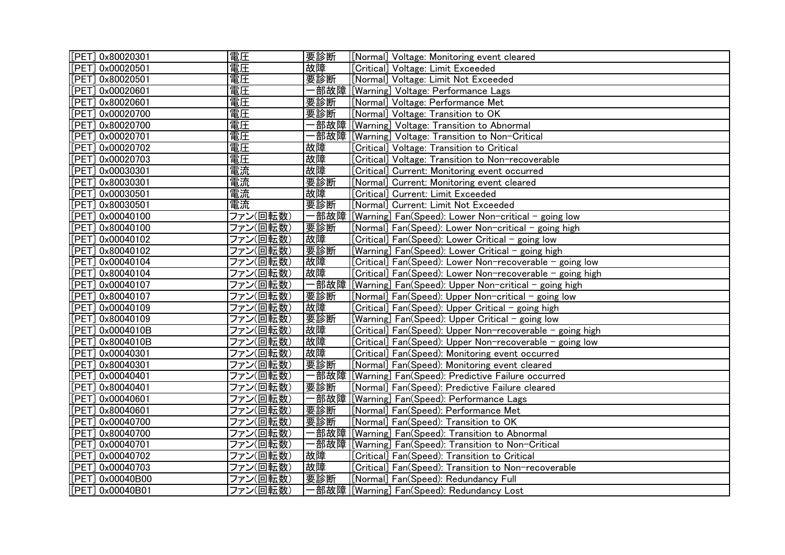| [PET] 0x80020301 | 電圧       | 要診断  | [Normal] Voltage: Monitoring event cleared                |
|------------------|----------|------|-----------------------------------------------------------|
| [PET] 0x00020501 | 電圧       | 故障   | [Critical] Voltage: Limit Exceeded                        |
| [PET] 0x80020501 | 電圧       | 要診断  | [Normal] Voltage: Limit Not Exceeded                      |
| [PET] 0x00020601 | 電圧       |      | 部故障 [[Warning] Voltage: Performance Lags                  |
| [PET] 0x80020601 | 電圧       | 要診断  | [Normal] Voltage: Performance Met                         |
| [PET] 0x00020700 | 電圧       | 要診断  | [Normal] Voltage: Transition to OK                        |
| [PET] 0x80020700 | 電圧       |      | 部故障 [Warning] Voltage: Transition to Abnormal             |
| [PET] 0x00020701 | 電圧       | 部故障  | [[Warning] Voltage: Transition to Non-Critical            |
| PET] 0x00020702  | 電圧       | 故障   | [Critical] Voltage: Transition to Critical                |
| [PET] 0x00020703 | 電圧       | 故障   | [Critical] Voltage: Transition to Non-recoverable         |
| [PET] 0x00030301 | 電流       | 故障   | [Critical] Current: Monitoring event occurred             |
| [PET] 0x80030301 | 電流       | 要診断  | [Normal] Current: Monitoring event cleared                |
| [PET] 0x00030501 | 電流       | 故障   | [Critical] Current: Limit Exceeded                        |
| [PET] 0x80030501 | 電流       | 要診断  | [Normal] Current: Limit Not Exceeded                      |
| [PET] 0x00040100 | ファン(回転数) | 一部故障 | [[Warning] Fan(Speed): Lower Non-critical - going low     |
| [PET] 0x80040100 | ファン(回転数) | 要診断  | [Normal] Fan(Speed): Lower Non-critical - going high      |
| [PET] 0x00040102 | ファン(回転数) | 故障   | [Critical] Fan(Speed): Lower Critical - going low         |
| PET] 0x80040102  | ファン(回転数) | 要診断  | [Warning] Fan(Speed): Lower Critical – going high         |
| [PET] 0x00040104 | ファン(回転数) | 故障   | [Critical] Fan(Speed): Lower Non-recoverable - going low  |
| [PET] 0x80040104 | ファン(回転数) | 故障   | Critical] Fan(Speed): Lower Non-recoverable - going high  |
| [PET] 0x00040107 | ファン(回転数) | 一部故障 | [[Warning] Fan(Speed): Upper Non-critical - going high    |
| [PET] 0x80040107 | ファン(回転数) | 要診断  | [Normal] Fan(Speed): Upper Non-critical - going low       |
| [PET] 0x00040109 | ファン(回転数) | 故障   | [Critical] Fan(Speed): Upper Critical – going high        |
| [PET] 0x80040109 | ファン(回転数) | 要診断  | [Warning] Fan(Speed): Upper Critical - going low          |
| [PET] 0x0004010B | ファン(回転数) | 故障   | [Critical] Fan(Speed): Upper Non-recoverable - going high |
| [PET] 0x8004010B | ファン(回転数) | 故障   | [Critical] Fan(Speed): Upper Non-recoverable - going low  |
| [PET] 0x00040301 | ファン(回転数) | 故障   | Critical] Fan(Speed): Monitoring event occurred           |
| [PET] 0x80040301 | ファン(回転数) | 要診断  | [Normal] Fan(Speed): Monitoring event cleared             |
| [PET] 0x00040401 | ファン(回転数) | 一部故障 | [[Warning] Fan(Speed): Predictive Failure occurred        |
| [PET] 0x80040401 | ファン(回転数) | 要診断  | [Normal] Fan(Speed): Predictive Failure cleared           |
| [PET] 0x00040601 | ファン(回転数) |      |                                                           |
| [PET] 0x80040601 | ファン(回転数) | 要診断  | [Normal] Fan(Speed): Performance Met                      |
| [PET] 0x00040700 | ファン(回転数) | 要診断  | [Normal] Fan(Speed): Transition to OK                     |
| [PET] 0x80040700 | ファン(回転数) | 部故障  | [[Warning] Fan(Speed): Transition to Abnormal             |
| [PET] 0x00040701 | ファン(回転数) |      | 部故障 [[Warning] Fan(Speed): Transition to Non-Critical     |
| [PET] 0x00040702 | ファン(回転数) | 故障   | [Critical] Fan(Speed): Transition to Critical             |
| [PET] 0x00040703 | ファン(回転数) | 故障   | [Critical] Fan(Speed): Transition to Non-recoverable      |
| [PET] 0x00040B00 | ファン(回転数) | 要診断  | [Normal] Fan(Speed): Redundancy Full                      |
| [PET] 0x00040B01 | ファン(回転数) |      | 部故障 [Warning] Fan(Speed): Redundancy Lost                 |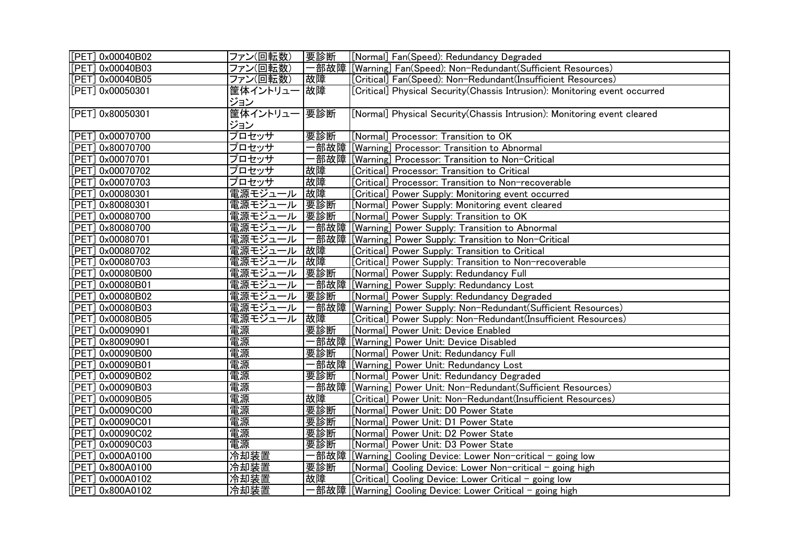| [PET] 0x00040B02 | ファン(回転数)<br>要診断      | [[Normal] Fan(Speed): Redundancy Degraded                                  |
|------------------|----------------------|----------------------------------------------------------------------------|
| [PET] 0x00040B03 | ファン(回転数)             | 一部故障<br>[[Warning] Fan(Speed): Non-Redundant(Sufficient Resources)         |
| [PET] 0x00040B05 | ファン(回転数)<br>故障       | [Critical] Fan(Speed): Non-Redundant(Insufficient Resources)               |
| [PET] 0x00050301 | 筐体イントリュー 故障          | [Critical] Physical Security(Chassis Intrusion): Monitoring event occurred |
|                  | ジョン                  |                                                                            |
| [PET] 0x80050301 | 筐体イントリュー<br>要診断      | [Normal] Physical Security(Chassis Intrusion): Monitoring event cleared    |
|                  | ジョン                  |                                                                            |
| [PET] 0x00070700 | プロセッサ<br>要診断         | [Normal] Processor: Transition to OK                                       |
| [PET] 0x80070700 | プロセッサ                | 部故障 [Warning] Processor: Transition to Abnormal                            |
| [PET] 0x00070701 | プロセッサ                |                                                                            |
| [PET] 0x00070702 | 故障<br>プロセッサ          | [Critical] Processor: Transition to Critical                               |
| [PET] 0x00070703 | 故障<br>プロセッサ          | [Critical] Processor: Transition to Non-recoverable                        |
| [PET] 0x00080301 | 故障<br>電源モジュール        | [Critical] Power Supply: Monitoring event occurred                         |
| [PET] 0x80080301 | 要診断<br>電源モジュール       | [Normal] Power Supply: Monitoring event cleared                            |
| [PET] 0x00080700 | 要診断<br>電源モジュール       | [Normal] Power Supply: Transition to OK                                    |
| [PET] 0x80080700 | 電源モジュール              | −部故障<br>[[Warning] Power Supply: Transition to Abnormal                    |
| PET] 0x00080701  | 電源モジュール              | -部故障<br>[Warning] Power Supply: Transition to Non-Critical                 |
| [PET] 0x00080702 | 故障<br>電源モジュール        | [Critical] Power Supply: Transition to Critical                            |
| [PET] 0x00080703 | 故障<br><u>電源モジュール</u> | [Critical] Power Supply: Transition to Non-recoverable                     |
| [PET] 0x00080B00 | 要診断<br>電源モジュール       | [Normal] Power Supply: Redundancy Full                                     |
| [PET] 0x00080B01 | 電源モジュール              | -部故障 [[Warning] Power Supply: Redundancy Lost                              |
| [PET] 0x00080B02 | 要診断<br>電源モジュール       | [Normal] Power Supply: Redundancy Degraded                                 |
| [PET] 0x00080B03 | 電源モジュール              |                                                                            |
| [PET] 0x00080B05 | 電源モジュール<br>故障        | [Critical] Power Supply: Non-Redundant(Insufficient Resources)             |
| [PET] 0x00090901 | 電源<br>要診断            | [Normal] Power Unit: Device Enabled                                        |
| [PET] 0x80090901 | 電源                   | 部故障 [[Warning] Power Unit: Device Disabled                                 |
| [PET] 0x00090B00 | 電源<br>要診断            | [Normal] Power Unit: Redundancy Full                                       |
| [PET] 0x00090B01 | 電源                   | -部故障 [[Warning] Powe <u>r Unit: Redundancy Lost</u>                        |
| [PET] 0x00090B02 | 電源<br>要診断            | [Normal] Power Unit: Redundancy Degraded                                   |
| [PET] 0x00090B03 | 電源                   | 部故障 [Warning] Power Unit: Non-Redundant(Sufficient Resources)              |
| [PET] 0x00090B05 | 電源<br>故障             | [Critical] Power Unit: Non-Redundant(Insufficient Resources)               |
| [PET] 0x00090C00 | 電源<br>要診断            | [Normal] Power Unit: D0 Power State                                        |
| [PET] 0x00090C01 | 電源<br>要診断            | [Normal] Power Unit: D1 Power State                                        |
| [PET] 0x00090C02 | 電源<br>要診断            | [Normal] Power Unit: D2 Power State                                        |
| [PET] 0x00090C03 | 電源<br>要診断            | [Normal] Power Unit: D3 Power State                                        |
| [PET] 0x000A0100 | 冷却装置                 | ─部故障<br>[[Warning] Cooling Device: Lower Non-critical - going low          |
| [PET] 0x800A0100 | 冷却装置<br>要診断          | [Normal] Cooling Device: Lower Non-critical - going high                   |
| [PET] 0x000A0102 | 冷却装置<br>故障           | [Critical] Cooling Device: Lower Critical - going low                      |
| [PET] 0x800A0102 | 冷却装置                 | 部故障 [Warning] Cooling Device: Lower Critical - going high                  |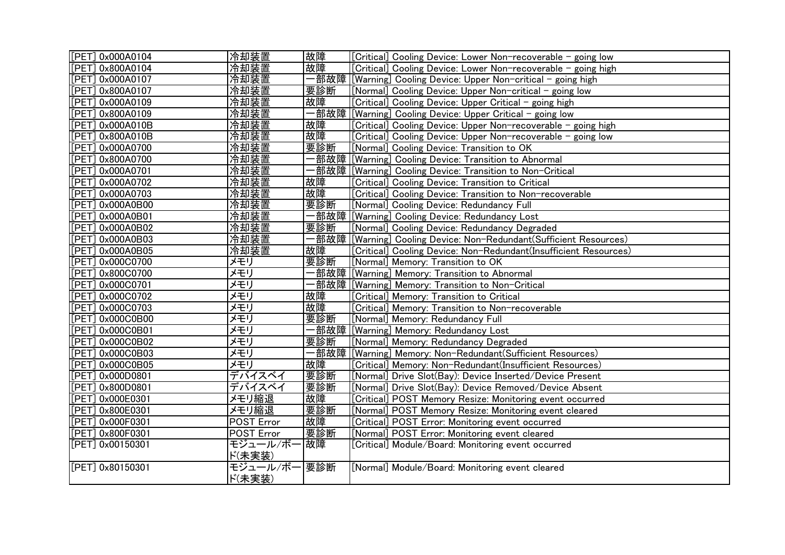| [PET] 0x000A0104       | 冷却装置                  | 故障   | [Critical] Cooling Device: Lower Non-recoverable - going low       |
|------------------------|-----------------------|------|--------------------------------------------------------------------|
| [PET] 0x800A0104       | 冷却装置                  | 故障   | [Critical] Cooling Device: Lower Non-recoverable - going high      |
| [PET] 0x000A0107       | 冷却装置                  |      |                                                                    |
| [PET] 0x800A0107       | 冷却装置                  | 要診断  | [Normal] Cooling Device: Upper Non-critical - going low            |
| [PET] 0x000A0109       | 冷却装置                  | 故障   | [Critical] Cooling Device: Upper Critical - going high             |
| [PET] 0x800A0109       | 冷却装置                  |      | -部故障 [[Warning] Cooling Device: Upper Critical - going low         |
| [PET] 0x000A010B       | 冷却装置                  | 故障   | [Critical] Cooling Device: Upper Non-recoverable - going high      |
| [PET] 0x800A010B       | 冷却装置                  | 故障   | [Critical] Cooling Device: Upper Non-recoverable - going low       |
| [PET] 0x000A0700       | 冷却装置                  | 要診断  | [Normal] Cooling Device: Transition to OK                          |
| [PET] 0x800A0700       | 冷却装置                  |      | ·部故障 [Warning] Cooling Device: Transition to Abnormal              |
| [PET] 0x000A0701       | 冷却装置                  |      | 部故障 [Warning] Cooling Device: Transition to Non-Critical           |
| [PET] 0x000A0702       | 冷却装置                  | 故障   | [Critical] Cooling Device: Transition to Critical                  |
| [PET] 0x000A0703       | 冷却装置                  | 故障   | [Critical] Cooling Device: Transition to Non-recoverable           |
| [PET] 0x000A0B00       | 冷却装置                  | 要診断  | [Normal] Cooling Device: Redundancy Full                           |
| [PET] 0x000A0B01       | 冷却装置                  |      | 部故障 [Warning] Cooling Device: Redundancy Lost                      |
| [PET] 0x000A0B02       | 冷却装置                  | 要診断  | [Normal] Cooling Device: Redundancy Degraded                       |
| [PET] 0x000A0B03       | 冷却装置                  |      | 部故障  [Warning] Cooling Device: Non-Redundant(Sufficient Resources) |
| [PET] 0x000A0B05       | 冷却装置                  | 故障   | [Critical] Cooling Device: Non-Redundant(Insufficient Resources)   |
| [PET] 0x000C0700       | メモリ                   | 要診断  | [Normal] Memory: Transition to OK                                  |
| [PET] 0x800C0700       | メモリ                   |      | 部故障 [Warning] Memory: Transition to Abnormal                       |
| [PET] 0x000C0701       | メモリ                   |      | 部故障 [Warning] Memory: Transition to Non-Critical                   |
| [PET] 0x000C0702       | メモリ                   | 故障   | [Critical] Memory: Transition to Critical                          |
| [PET] 0x000C0703       | メモリ                   | 故障   | [Critical] Memory: Transition to Non-recoverable                   |
| [PET] 0x000C0B00       | メモリ                   | 要診断  | [Normal] Memory: Redundancy Full                                   |
| [PET] 0x000C0B01       | メモリ                   |      | 部故障 [Warning] Memory: Redundancy Lost                              |
| [PET] 0x000C0B02       | メモリ                   | 要診断  | [Normal] Memory: Redundancy Degraded                               |
| [PET] 0x000C0B03       | メモリ                   | ·部故障 | [[Warning] Memory: Non-Redundant(Sufficient Resources)             |
| $[$ PET $]$ 0x000C0B05 | メモリ                   | 故障   | [Critical] Memory: Non-Redundant(Insufficient Resources)           |
| [PET] 0x000D0801       | デバイスベイ                | 要診断  | [Normal] Drive Slot(Bay): Device Inserted/Device Present           |
| [PET] 0x800D0801       | デバイスベイ                | 要診断  | [Normal] Drive Slot(Bay): Device Removed/Device Absent             |
| [PET] 0x000E0301       | メモリ縮退                 | 故障   | [Critical] POST Memory Resize: Monitoring event occurred           |
| [PET] 0x800E0301       | メモリ縮退                 | 要診断  | [Normal] POST Memory Resize: Monitoring event cleared              |
| [PET] 0x000F0301       | POST Error            | 故障   | [Critical] POST Error: Monitoring event occurred                   |
| [PET] 0x800F0301       | POST Error            | 要診断  | [Normal] POST Error: Monitoring event cleared                      |
| [PET] 0x00150301       | モジュール/ボー 故障<br>ド(未実装) |      | [Critical] Module/Board: Monitoring event occurred                 |
| [PET] 0x80150301       | モジュール/ボー<br>ド(未実装)    | 要診断  | [Normal] Module/Board: Monitoring event cleared                    |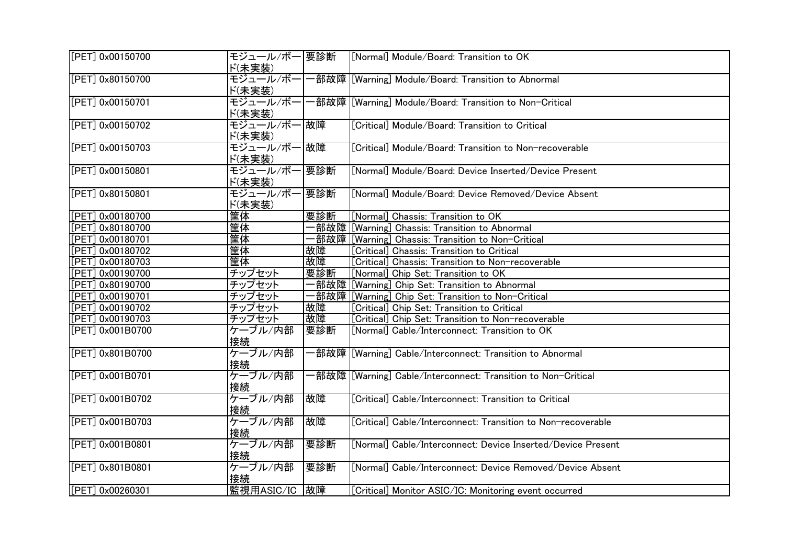| [PET] 0x00150700    | モジュール/ボー 要診断<br>ド(未実装) | [Normal] Module/Board: Transition to OK                       |
|---------------------|------------------------|---------------------------------------------------------------|
| [PET] 0x80150700    | モジュール/ボー<br>ド(未実装)     | -部故障 [[Warning] Module/Board: Transition to Abnormal          |
| [PET] 0x00150701    | モジュール/ボー<br>ド(未実装)     | ·部故障  [Warning] Module/Board: Transition to Non-Critical      |
| [PET] 0x00150702    | モジュール/ボー 故障<br>ド(未実装)  | [Critical] Module/Board: Transition to Critical               |
| [PET] 0x00150703    | モジュール/ボー 故障<br>ド(未実装)  | [Critical] Module/Board: Transition to Non-recoverable        |
| [PET] 0x00150801    | モジュール/ボー 要診断<br>ド(未実装) | [Normal] Module/Board: Device Inserted/Device Present         |
| [PET] 0x80150801    | モジュール/ボー 要診断<br>ド(未実装) | [Normal] Module/Board: Device Removed/Device Absent           |
| [PET] 0x00180700    | 筐体<br>要診断              | [Normal] Chassis: Transition to OK                            |
| PET 0x80180700      | 筐体                     | -部故障  [Warning] Chassis: Transition to Abnormal               |
| [PET] 0x00180701    | 筐体                     | 部故障 [Warning] Chassis: Transition to Non-Critical             |
| [PET] 0x00180702    | 筐体<br>故障               | [Critical] Chassis: Transition to Critical                    |
| PET] 0x00180703     | 筐体<br>故障               | [Critical] Chassis: Transition to Non-recoverable             |
| [PET] 0x00190700    | チップセット<br>要診断          | [Normal] Chip Set: Transition to OK                           |
| $[$ PET] 0x80190700 | −部故障<br>チップセット         | [Warning] Chip Set: Transition to Abnormal                    |
| $[$ PET] 0x00190701 | チップセット                 | -部故障 [[Warning] Chip Set: Transition to Non-Critical          |
| [PET] 0x00190702    | チップセット<br>故障           | [Critical] Chip Set: Transition to Critical                   |
| [PET] 0x00190703    | 故障<br>チップセット           | [Critical] Chip Set: Transition to Non-recoverable            |
| [PET] 0x001B0700    | 要診断<br>ケーブル/内部<br>接続   | [Normal] Cable/Interconnect: Transition to OK                 |
| [PET] 0x801B0700    | ケーブル/内部<br>接続          | ·部故障  [Warning] Cable/Interconnect: Transition to Abnormal    |
| [PET] 0x001B0701    | ケーブル/内部<br>接続          | ·部故障 [Warning] Cable/Interconnect: Transition to Non-Critical |
| [PET] 0x001B0702    | ケーブル/内部<br>故障<br>接続    | [Critical] Cable/Interconnect: Transition to Critical         |
| [PET] 0x001B0703    | ケーブル/内部<br>故障<br>接続    | [Critical] Cable/Interconnect: Transition to Non-recoverable  |
| [PET] 0x001B0801    | ケーブル/内部<br>要診断<br>接続   | [Normal] Cable/Interconnect: Device Inserted/Device Present   |
| [PET] 0x801B0801    | ケーブル/内部<br>要診断<br>接続   | [Normal] Cable/Interconnect: Device Removed/Device Absent     |
| [PET] 0x00260301    | 監視用ASIC/IC<br>故障       | [Critical] Monitor ASIC/IC: Monitoring event occurred         |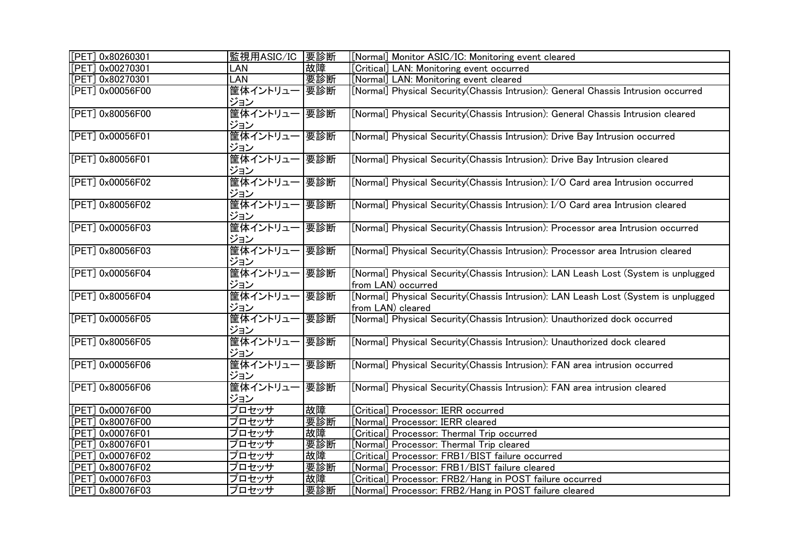| [PET] 0x80260301   | 監視用ASIC/IC 要診断             |     | [Normal] Monitor ASIC/IC: Monitoring event cleared                                                       |
|--------------------|----------------------------|-----|----------------------------------------------------------------------------------------------------------|
| [PET] 0x00270301   | LAN                        | 故障  | Critical] LAN: Monitoring event occurred                                                                 |
| [PET] 0x80270301   | LAN                        | 要診断 | [Normal] LAN: Monitoring event cleared                                                                   |
| [PET] 0x00056F00   | 筐体イントリュー  要診断<br>ジョン       |     | [Normal] Physical Security(Chassis Intrusion): General Chassis Intrusion occurred                        |
| [PET] 0x80056F00   | 筐体イントリュー 要診断<br>ジョン        |     | [Normal] Physical Security(Chassis Intrusion): General Chassis Intrusion cleared                         |
| [PET] 0x00056F01   | 筐体イントリュー 要診断<br>ジョン        |     | [Normal] Physical Security(Chassis Intrusion): Drive Bay Intrusion occurred                              |
| [PET] $0x80056F01$ | 筐体イントリュー 要診断<br> ジョン       |     | [Normal] Physical Security(Chassis Intrusion): Drive Bay Intrusion cleared                               |
| [PET] 0x00056F02   | 筐体イントリュー 要診断<br>ジョン        |     | [Normal] Physical Security(Chassis Intrusion): I/O Card area Intrusion occurred                          |
| [PET] 0x80056F02   | 筐体イントリュー 要診断<br><u>ジョン</u> |     | [Normal] Physical Security(Chassis Intrusion): I/O Card area Intrusion cleared                           |
| [PET] 0x00056F03   | 筐体イントリュー 要診断<br>ジョン        |     | [Normal] Physical Security(Chassis Intrusion): Processor area Intrusion occurred                         |
| [PET] 0x80056F03   | 筐体イントリュー 要診断<br>ジョン        |     | [Normal] Physical Security(Chassis Intrusion): Processor area Intrusion cleared                          |
| [PET] 0x00056F04   | 筐体イントリュー 要診断<br>ジョン        |     | [Normal] Physical Security(Chassis Intrusion): LAN Leash Lost (System is unplugged<br>from LAN) occurred |
| [PET] 0x80056F04   | 筐体イントリュー 要診断<br>ジョン        |     | [Normal] Physical Security(Chassis Intrusion): LAN Leash Lost (System is unplugged<br>from LAN) cleared  |
| [PET] 0x00056F05   | 筐体イントリュー 要診断<br>ジョン        |     | [Normal] Physical Security(Chassis Intrusion): Unauthorized dock occurred                                |
| [PET] 0x80056F05   | 筐体イントリュー 要診断<br>ジョン        |     | [Normal] Physical Security(Chassis Intrusion): Unauthorized dock cleared                                 |
| $[PET]$ 0x00056F06 | 筐体イントリュー<br>ジョン            | 要診断 | [Normal] Physical Security(Chassis Intrusion): FAN area intrusion occurred                               |
| [PET] 0x80056F06   | 筐体イントリュー<br>ジョン            | 要診断 | [Normal] Physical Security (Chassis Intrusion): FAN area intrusion cleared                               |
| [PET] 0x00076F00   | プロセッサ                      | 故障  | Critical] Processor: IERR occurred                                                                       |
| [PET] 0x80076F00   | プロセッサ                      | 要診断 | [Normal] Processor: IERR cleared                                                                         |
| [PET] 0x00076F01   | プロセッサ                      | 故障  | Critical] Processor: Thermal Trip occurred                                                               |
| [PET] 0x80076F01   | プロセッサ                      | 要診断 | [Normal] Processor: Thermal Trip cleared                                                                 |
| [PET] 0x00076F02   | プロセッサ                      | 故障  | Critical] Processor: FRB1/BIST failure occurred                                                          |
| [PET] 0x80076F02   | プロセッサ                      | 要診断 | [Normal] Processor: FRB1/BIST failure cleared                                                            |
| [PET] 0x00076F03   | プロセッサ                      | 故障  | [Critical] Processor: FRB2/Hang in POST failure occurred                                                 |
| [PET] 0x80076F03   | プロセッサ                      | 要診断 | [Normal] Processor: FRB2/Hang in POST failure cleared                                                    |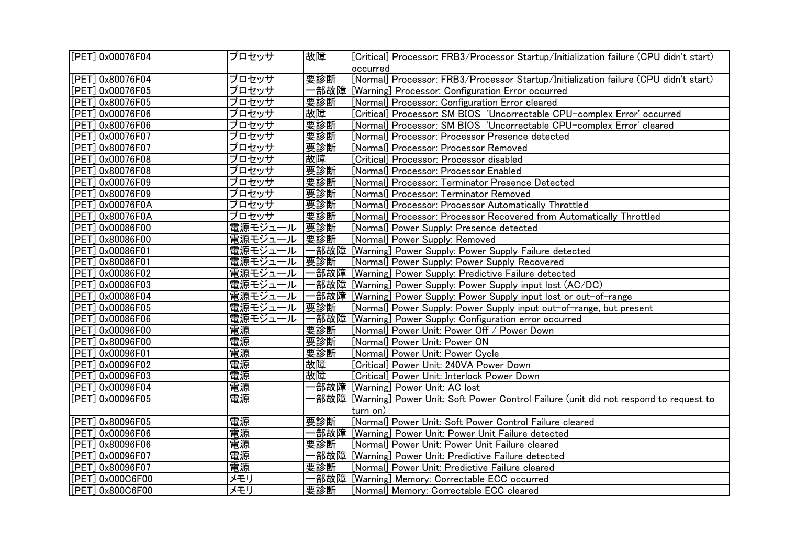| [PET] 0x00076F04   | プロセッサ          | 故障  | [Critical] Processor: FRB3/Processor Startup/Initialization failure (CPU didn't start)     |
|--------------------|----------------|-----|--------------------------------------------------------------------------------------------|
|                    |                |     | occurred                                                                                   |
| [PET] 0x80076F04   | プロセッサ          | 要診断 | [Normal] Processor: FRB3/Processor Startup/Initialization failure (CPU didn't start)       |
| PET10x00076F05     | プロセッサ          |     | ·部故障  [Warning] Processor: Configuration Error occurred                                    |
| [PET] 0x80076F05   | プロセッサ          | 要診断 | [Normal] Processor: Configuration Error cleared                                            |
| [PET] 0x00076F06   | プロセッサ          | 故障  | [Critical] Processor: SM BIOS 'Uncorrectable CPU-complex Error' occurred                   |
| [PET] 0x80076F06   | プロセッサ          | 要診断 | [Normal] Processor: SM BIOS 'Uncorrectable CPU-complex Error' cleared                      |
| [PET] 0x00076F07   | プロセッサ          | 要診断 | [Normal] Processor: Processor Presence detected                                            |
| PET] 0x80076F07    | プロセッサ          | 要診断 | [Normal] Processor: Processor Removed                                                      |
| [PET] 0x00076F08   | プロセッサ          | 故障  | [Critical] Processor: Processor disabled                                                   |
| [PET] 0x80076F08   | プロセッサ          | 要診断 | [Normal] Processor: Processor Enabled                                                      |
| [PET] 0x00076F09   | プロセッサ          | 要診断 | [Normal] Processor: Terminator Presence Detected                                           |
| [PET] 0x80076F09   | プロセッサ          | 要診断 | [Normal] Processor: Terminator Removed                                                     |
| $[PET]$ 0x00076F0A | プロセッサ          | 要診断 | [Normal] Processor: Processor Automatically Throttled                                      |
| [PET] 0x80076F0A   | プロセッサ          | 要診断 | [Normal] Processor: Processor Recovered from Automatically Throttled                       |
| [PET] 0x00086F00   | 電源モジュール        | 要診断 | [Normal] Power Supply: Presence detected                                                   |
| [PET] 0x80086F00   | 電源モジュール        | 要診断 | [Normal] Power Supply: Removed                                                             |
| [PET] 0x00086F01   | 電源モジュール        |     | ·部故障 [[Warning] Power Supply: Power Supply Failure detected                                |
| [PET] 0x80086F01   | <u>電源モジュール</u> | 要診断 | [Normal] Power Supply: Power Supply Recovered                                              |
| [PET] 0x00086F02   | 電源モジュール        |     |                                                                                            |
| [PET] 0x00086F03   | 電源モジュール        |     |                                                                                            |
| [PET] 0x00086F04   | 電源モジュール        |     | -部故障 [[Warning] Power Supply: Power Supply input lost or out-of-range                      |
| [PET] 0x00086F05   | 電源モジュール        | 要診断 | [Normal] Power Supply: Power Supply input out-of-range, but present                        |
| [PET] 0x00086F06   | 電源モジュール        |     |                                                                                            |
| [PET] 0x00096F00   | 電源             | 要診断 | [Normal] Power Unit: Power Off / Power Down                                                |
| [PET] 0x80096F00   | 電源             | 要診断 | [Normal] Power Unit: Power ON                                                              |
| [PET] 0x00096F01   | 電源             | 要診断 | [Normal] Power Unit: Power Cycle                                                           |
| [PET] 0x00096F02   | 電源             | 故障  | [Critical] Power Unit: 240VA Power Down                                                    |
| [PET] 0x00096F03   | 電源             | 故障  | [Critical] Power Unit: Interlock Power Down                                                |
| [PET] 0x00096F04   | 電源             |     | ・部故障  [Warning] Power Unit: AC lost                                                        |
| [PET] 0x00096F05   | 電源             |     | ·部故障 [[Warning] Power Unit: Soft Power Control Failure (unit did not respond to request to |
|                    |                |     | turn on)                                                                                   |
| [PET] 0x80096F05   | 電源             | 要診断 | [Normal] Power Unit: Soft Power Control Failure cleared                                    |
| [PET] 0x00096F06   | 電源             |     | ·部故障  [Warning] Power Unit: Power Unit Failure detected                                    |
| PET] 0x80096F06    | 電源             | 要診断 | [Normal] Power Unit: Power Unit Failure cleared                                            |
| [PET] 0x00096F07   | 電源             |     |                                                                                            |
| [PET] 0x80096F07   | 電源             | 要診断 | [Normal] Power Unit: Predictive Failure cleared                                            |
| [PET] 0x000C6F00   | メモリ            |     | -部故障  [Warning] Memory: Correctable ECC occurred                                           |
| [PET] 0x800C6F00   | メモリ            | 要診断 | [Normal] Memory: Correctable ECC cleared                                                   |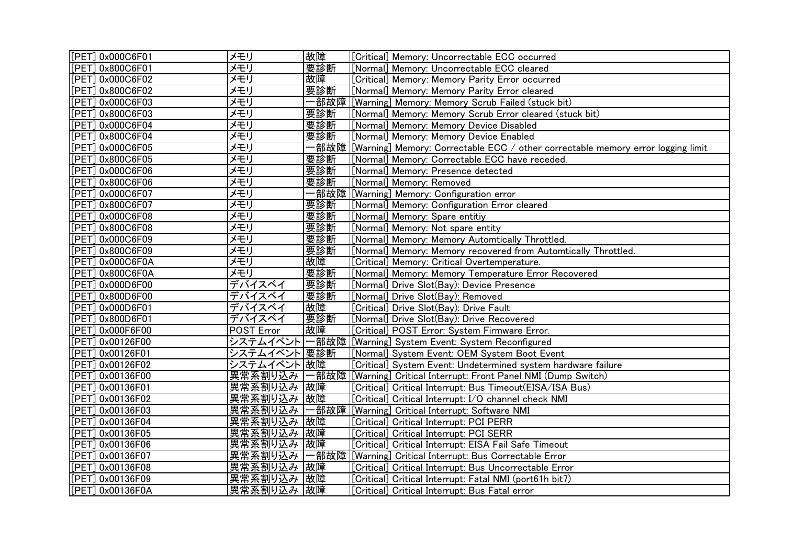| [[PET] 0x000C6F01 | メモリ           | 故障          | [Critical] Memory: Uncorrectable ECC occurred                                          |
|-------------------|---------------|-------------|----------------------------------------------------------------------------------------|
| [PET] 0x800C6F01  | メモリ           | 要診断         | [Normal] Memory: Uncorrectable ECC cleared                                             |
| [PET] 0x000C6F02  | メモリ           | 故障          | [Critical] Memory: Memory Parity Error occurred                                        |
| [PET] 0x800C6F02  | メモリ           | 要診断         | [Normal] Memory: Memory Parity Error cleared                                           |
| [PET] 0x000C6F03  | メモリ           |             | ·部故障  [Warning] Memory: Memory Scrub Failed (stuck bit)                                |
| [PET] 0x800C6F03  | メモリ           | 要診断         | [Normal] Memory: Memory Scrub Error cleared (stuck bit)                                |
| [PET] 0x000C6F04  | メモリ           | 要診 <u>断</u> | [[Normal] Memory: Memory Device Disabled                                               |
| [PET] 0x800C6F04  | メモリ           | 要診断         | [Normal] Memory: Memory Device Enabled                                                 |
| [PET] 0x000C6F05  | メモリ           |             | ·部故障  [Warning] Memory: Correctable ECC / other correctable memory error logging limit |
| [PET] 0x800C6F05  | メモリ           | 要診断         | [Normal] Memory: Correctable ECC have receded.                                         |
| [PET] 0x000C6F06  | メモリ           | 要診断         | [Normal] Memory: Presence detected                                                     |
| [PET] 0x800C6F06  | メモリ           | 要診断         | [Normal] Memory: Removed                                                               |
| [PET] 0x000C6F07  | メモリ           |             | -部故障  [Warnin <u>g] Memory: Configuration error</u>                                    |
| [PET] 0x800C6F07  | メモリ           | 要診断         | [Normal] Memory: Configuration Error cleared                                           |
| [PET] 0x000C6F08  | メモリ           | 要診断         | [Normal] Memory: Spare entitiy                                                         |
| [PET] 0x800C6F08  | メモリ           | 要診断         | [Normal] Memory: Not spare entity                                                      |
| [PET] 0x000C6F09  | メモリ           | 要診断         | [Normal] Memory: Memory Automtically Throttled.                                        |
| [PET] 0x800C6F09  | メモリ           | 要診断         | [Normal] Memory: Memory recovered from Automtically Throttled.                         |
| [PET] 0x000C6F0A  | メモリ           | 故障          | [Critical] Memory: Critical Overtemperature.                                           |
| [PET] 0x800C6F0A  | メモリ           | 要診断         | [Normal] Memory: Memory Temperature Error Recovered                                    |
| [PET] 0x000D6F00  | デバイスベイ        | 要診断         | [Normal] Drive Slot(Bay): Device Presence                                              |
| [PET] 0x800D6F00  | <u>デバイスベイ</u> | 要診断         | [Normal] Drive Slot(Bay): Removed                                                      |
| [PET] 0x000D6F01  | デバイスベイ        | 故障          | [Critical] Drive Slot(Bay): Drive Fault                                                |
| [PET] 0x800D6F01  | デバイスベイ        | 要診断         | [Normal] Drive Slot(Bay): Drive Recovered                                              |
| [PET] 0x000F6F00  | POST Error    | 故障          | [Critical] POST Error: System Firmware Error.                                          |
| [PET] 0x00126F00  | システムイベント      |             | 一部故障  [Warning] System Event: System Reconfigured                                      |
| [PET] 0x00126F01  | システムイベント 要診断  |             | [Normal] System Event: OEM System Boot Event                                           |
| [PET] 0x00126F02  | システムイベント故障    |             | [Critical] System Event: Undetermined system hardware failure                          |
| [PET] 0x00136F00  | 異常系割り込み       |             | -部故障  [Warning] Critical Interrupt: Front Panel NMI (Dump Switch)                      |
| [PET] 0x00136F01  | 異常系割り込み       | 故障          | [Critical] Critical Interrupt: Bus Timeout(EISA/ISA Bus)                               |
| [PET] 0x00136F02  | 異常系割り込み       | 故障          | [Critical] Critical Interrupt: I/O channel check NMI                                   |
| [PET] 0x00136F03  | 異常系割り込み       | −部故障        | [Warning] Critical Interrupt: Software NMI                                             |
| [PET] 0x00136F04  | 異常系割り込み       | 故障          | [Critical] Critical Interrupt: PCI PERR                                                |
| [PET] 0x00136F05  | 異常系割り込み       | 故障          | [Critical] Critical Interrupt: PCI SERR                                                |
| [PET] 0x00136F06  | 異常系割り込み       | 故障          | [Critical] Critical Interrupt: EISA Fail Safe Timeout                                  |
| [PET] 0x00136F07  | 異常系割り込み       | 一部故障        | [[Warning] Critical Interrupt: Bus Correctable Error                                   |
| [PET] 0x00136F08  | 異常系割り込み       | 故障          | [Critical] Critical Interrupt: Bus Uncorrectable Error                                 |
| [PET] 0x00136F09  | 異常系割り込み       | 故障          | [Critical] Critical Interrupt: Fatal NMI (port61h bit7)                                |
| [[PET] 0x00136F0A | 異常系割り込み  故障   |             | [Critical] Critical Interrupt: Bus Fatal error                                         |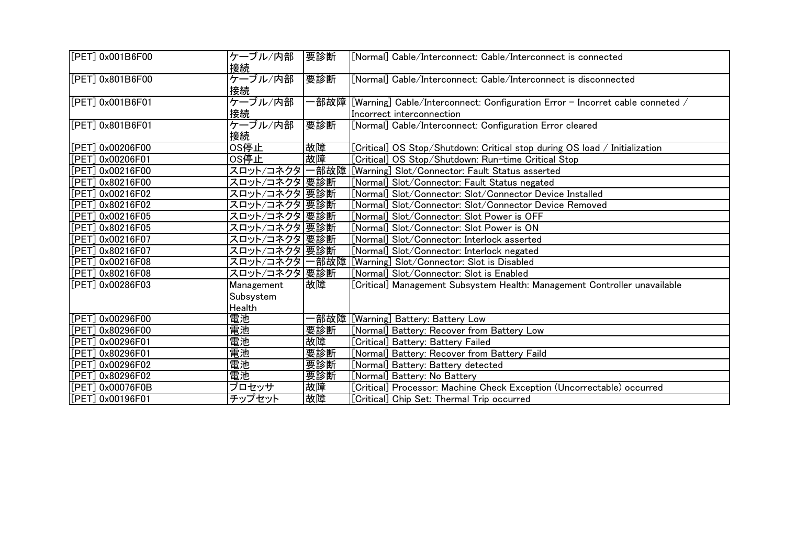| [PET] 0x001B6F00  | ケーブル/内部<br>接続 | 要診断 | [Normal] Cable/Interconnect: Cable/Interconnect is connected                                                     |
|-------------------|---------------|-----|------------------------------------------------------------------------------------------------------------------|
| [[PET] 0x801B6F00 | ケーブル/内部<br>接続 | 要診断 | [Normal] Cable/Interconnect: Cable/Interconnect is disconnected                                                  |
| [[PET] 0x001B6F01 | ケーブル/内部<br>接続 |     | -部故障  [Warning] Cable/Interconnect: Configuration Error – Incorret cable conneted /<br>Incorrect interconnection |
| [[PET] 0x801B6F01 | ケーブル/内部<br>接続 | 要診断 | [Normal] Cable/Interconnect: Configuration Error cleared                                                         |
| [PET] 0x00206F00  | OS停止          | 故障  | [Critical] OS Stop/Shutdown: Critical stop during OS load / Initialization                                       |
| [PET] 0x00206F01  | OS停止          | 故障  | [Critical] OS Stop/Shutdown: Run-time Critical Stop                                                              |
| [PET] 0x00216F00  |               |     | スロット/コネクタ 一部故障 [[Warning] Slot/Connector: Fault Status asserted                                                  |
| [PET] 0x80216F00  | スロット/コネクタ 要診断 |     | [Normal] Slot/Connector: Fault Status negated                                                                    |
| [PET] 0x00216F02  | スロット/コネクタ 要診断 |     | [Normal] Slot/Connector: Slot/Connector Device Installed                                                         |
| [PET] 0x80216F02  | スロット/コネクタ 要診断 |     | [Normal] Slot/Connector: Slot/Connector Device Removed                                                           |
| [PET] 0x00216F05  | スロット/コネクタ 要診断 |     | [Normal] Slot/Connector: Slot Power is OFF                                                                       |
| [PET] 0x80216F05  | スロット/コネクタ 要診断 |     | [Normal] Slot/Connector: Slot Power is ON                                                                        |
| [PET] 0x00216F07  | スロット/コネクタ 要診断 |     | [Normal] Slot/Connector: Interlock asserted                                                                      |
| [[PET] 0x80216F07 | スロット/コネクタ 要診断 |     | [Normal] Slot/Connector: Interlock negated                                                                       |
| [PET] 0x00216F08  |               |     | スロット/コネクタ 一部故障 [[Warning] Slot/Connector: Slot is Disabled                                                       |
| [[PET] 0x80216F08 | スロット/コネクタ 要診断 |     | [Normal] Slot/Connector: Slot is Enabled                                                                         |
| [PET] 0x00286F03  | Management    | 故障  | [Critical] Management Subsystem Health: Management Controller unavailable                                        |
|                   | Subsystem     |     |                                                                                                                  |
|                   | Health        |     |                                                                                                                  |
| [[PET] 0x00296F00 | 電池            |     | -部故障 <u>[[Warning] Battery: Battery Low</u>                                                                      |
| [PET] 0x80296F00  | 電池            | 要診断 | [Normal] Battery: Recover from Battery Low                                                                       |
| [PET] 0x00296F01  | 電池            | 故障  | [Critical] Battery: Battery Failed                                                                               |
| [PET] 0x80296F01  | 電池            | 要診断 | [Normal] Battery: Recover from Battery Faild                                                                     |
| [PET] 0x00296F02  | 電池            | 要診断 | [Normal] Battery: Battery detected                                                                               |
| [PET] 0x80296F02  | 電池            | 要診断 | [Normal] Battery: No Battery                                                                                     |
| [[PET] 0x00076F0B | プロセッサ         | 故障  | [Critical] Processor: Machine Check Exception (Uncorrectable) occurred                                           |
| [PET] 0x00196F01  | チップセット        | 故障  | [Critical] Chip Set: Thermal Trip occurred                                                                       |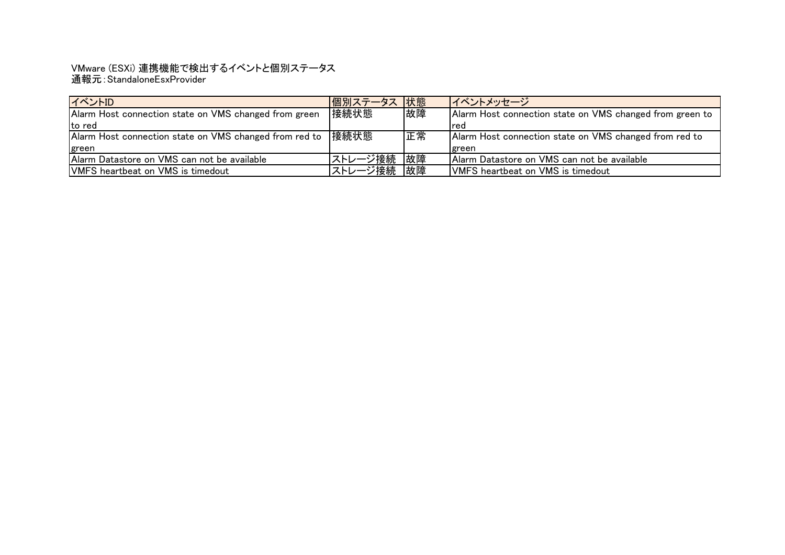## 通報元:StandaloneEsxProvider VMware (ESXi) 連携機能で検出するイベントと個別ステータス

| イベントID                                                      | 個別ステータス  状態 |    | イベントメッセージ                                                |
|-------------------------------------------------------------|-------------|----|----------------------------------------------------------|
| Alarm Host connection state on VMS changed from green       | 接続状態        | 故障 | Alarm Host connection state on VMS changed from green to |
| lto red                                                     |             |    | Ired                                                     |
| Alarm Host connection state on VMS changed from red to 接続状態 |             | 正常 | Alarm Host connection state on VMS changed from red to   |
| <b>green</b>                                                |             |    | Igreen                                                   |
| Alarm Datastore on VMS can not be available                 | ストレージ接続     | 故障 | Alarm Datastore on VMS can not be available              |
| <b>VMFS</b> heartbeat on VMS is timedout                    | ストレージ接続     | 故障 | <b>VMFS</b> heartbeat on VMS is timedout                 |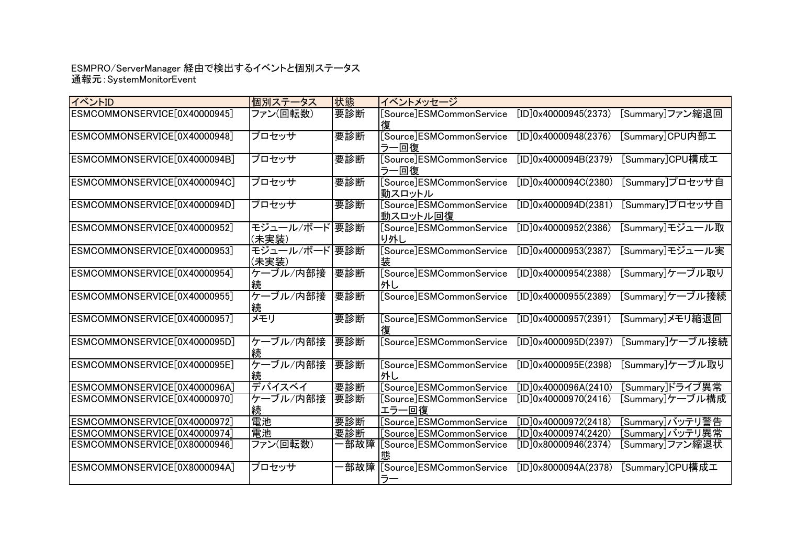## 通報元:SystemMonitorEvent ESMPRO/ServerManager 経由で検出するイベントと個別ステータス

| イベントID                       | 個別ステータス                | 状態  | イベントメッセージ                            |                      |                 |
|------------------------------|------------------------|-----|--------------------------------------|----------------------|-----------------|
| ESMCOMMONSERVICE[0X40000945] | ファン(回転数)               | 要診断 | [Source]ESMCommonService             | [ID]0x40000945(2373) | [Summary]ファン縮退回 |
| ESMCOMMONSERVICE[0X40000948] | プロセッサ                  | 要診断 | [Source]ESMCommonService<br>ラー回復     | [ID]0x40000948(2376) | [Summary]CPU内部工 |
| ESMCOMMONSERVICE[0X4000094B] | プロセッサ                  | 要診断 | [Source]ESMCommonService<br>ラー回復     | [ID]0x4000094B(2379) | [Summary]CPU構成工 |
| ESMCOMMONSERVICE[0X4000094C] | プロセッサ                  | 要診断 | [Source]ESMCommonService<br>動スロットル   | [ID]0x4000094C(2380) | [Summary]プロセッサ自 |
| ESMCOMMONSERVICE[0X4000094D] | プロセッサ                  | 要診断 | [Source]ESMCommonService<br>動スロットル回復 | [ID]0x4000094D(2381) | [Summary]プロセッサ自 |
| ESMCOMMONSERVICE[0X40000952] | モジュール/ボード 要診断<br>(未実装) |     | [Source]ESMCommonService<br>り外し      | [ID]0x40000952(2386) | [Summary]モジュール取 |
| ESMCOMMONSERVICE[0X40000953] | モジュール/ボード要診断<br>(未実装)  |     | [Source]ESMCommonService<br>装        | [ID]0x40000953(2387) | [Summary]モジュール実 |
| ESMCOMMONSERVICE[0X40000954] | ケーブル/内部接               | 要診断 | [Source]ESMCommonService<br>外し       | [ID]0x40000954(2388) | [Summary]ケーブル取り |
| ESMCOMMONSERVICE[0X40000955] | ケーブル/内部接<br>続          | 要診断 | [Source]ESMCommonService             | [ID]0x40000955(2389) | [Summary]ケーブル接続 |
| ESMCOMMONSERVICE[0X40000957] | メモリ                    | 要診断 | [Source]ESMCommonService             | [ID]0x40000957(2391) | [Summary]メモリ縮退回 |
| ESMCOMMONSERVICE[0X4000095D] | ケーブル/内部接               | 要診断 | [Source]ESMCommonService             | [ID]0x4000095D(2397) | [Summary]ケーブル接続 |
| ESMCOMMONSERVICE[0X4000095E] | ケーブル/内部接               | 要診断 | [Source]ESMCommonService<br>外し       | [ID]0x4000095E(2398) | [Summary]ケーブル取り |
| ESMCOMMONSERVICE[0X4000096A] | デバイスベイ                 | 要診断 | [Source]ESMCommonService             | [ID]0x4000096A(2410) | [Summary]ドライブ異常 |
| ESMCOMMONSERVICE[0X40000970] | ケーブル/内部接               | 要診断 | [Source]ESMCommonService<br>エラー回復    | [ID]0x40000970(2416) | [Summary]ケーブル構成 |
| ESMCOMMONSERVICE[0X40000972] | 電池                     | 要診断 | [Source]ESMCommonService             | [ID]0x40000972(2418) | [Summary]バッテリ警告 |
| ESMCOMMONSERVICE[0X40000974] | 電池                     | 要診断 | [Source]ESMCommonService             | [ID]0x40000974(2420) | [Summary]バッテリ異常 |
| ESMCOMMONSERVICE[0X80000946] | ファン(回転数)               | 部故障 | [Source]ESMCommonService             | [ID]0x80000946(2374) | [Summary]ファン縮退状 |
| ESMCOMMONSERVICE[0X8000094A] | プロセッサ                  |     | ·部故障 [Source]ESMCommonService        | [ID]0x8000094A(2378) | [Summary]CPU構成工 |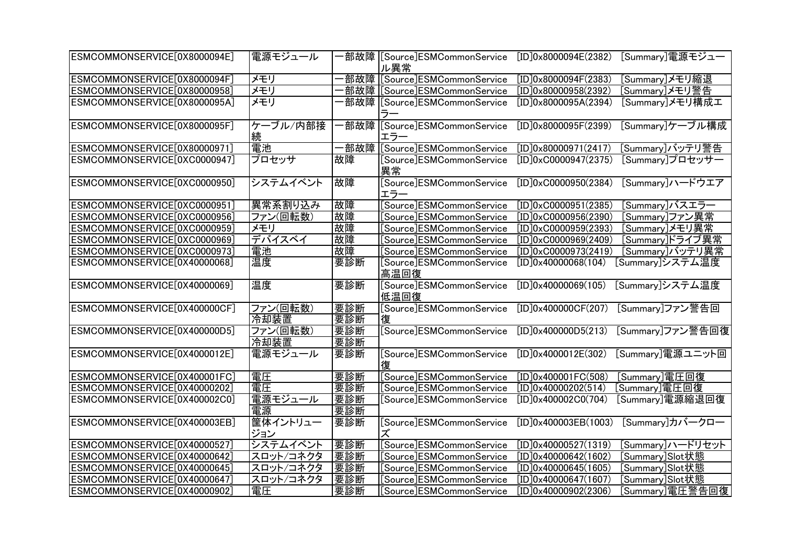| ESMCOMMONSERVICE[0X8000094E] | 電源モジュール   |       | ·部故障  [Source]ESMCommonService | [ID]0x8000094E(2382)           | [Summary]電源モジュー  |
|------------------------------|-----------|-------|--------------------------------|--------------------------------|------------------|
|                              |           |       | ル異常                            |                                |                  |
| ESMCOMMONSERVICE[0X8000094F] | メモリ       |       | 部故障 [Source]ESMCommonService   | [ID]0x8000094F(2383)           | [Summary]メモリ縮退   |
| ESMCOMMONSERVICE[0X80000958] | メモリ       |       | 部故障 [Source]ESMCommonService   | [ID]0x80000958(2392)           | [Summary]メモリ警告   |
| ESMCOMMONSERVICE[0X8000095A] | メモリ       |       | 部故障  [Source]ESMCommonService  | [ID]0x8000095A(2394)           | [Summary]メモリ構成エ  |
|                              |           |       | ぅ-                             |                                |                  |
| ESMCOMMONSERVICE[0X8000095F] | ケーブル/内部接  |       | 部故障 [Source]ESMCommonService   | [ID]0x8000095F(2399)           | [Summary]ケーブル構成  |
|                              | 続         |       | エラー                            |                                |                  |
| ESMCOMMONSERVICE[0X80000971] | 電池        | −部故障│ | [Source]ESMCommonService       | [ID]0x80000971(2417)           | [Summary]バッテリ警告  |
| ESMCOMMONSERVICE[0XC0000947] | プロセッサ     | 故障    | [Source]ESMCommonService       | $[ID]0 \times CO000947(2375)$  | [Summary]プロセッサー  |
|                              |           |       | 異常                             |                                |                  |
| ESMCOMMONSERVICE[0XC0000950] | システムイベント  | 故障    | [Source]ESMCommonService       | $[ID]0 \times C0000950(2384)$  | [Summary]ハードウエア  |
|                              |           |       | エラー                            |                                |                  |
| ESMCOMMONSERVICE[0XC0000951] | 異常系割り込み   | 故障    | [Source]ESMCommonService       | $[ID]0 \times CO000951(2385)$  | [Summary]バスエラー   |
| ESMCOMMONSERVICE[0XC0000956] | ファン(回転数)  | 故障    | Source]ESMCommonService_       | $[ID]0 \times C0000956(2390)$  | [Summary]ファン異常   |
| ESMCOMMONSERVICE[0XC0000959] | メモリ       | 故障    | [Source]ESMCommonService       | [ID]0xC0000959(2393)           | [Summary]メモリ異常   |
| ESMCOMMONSERVICE[0XC0000969] | デバイスベイ    | 故障    | [Source]ESMCommonService       | [ID]0xC0000969(2409)           | [Summary]ドライブ異常  |
| ESMCOMMONSERVICE[0XC0000973] | 電池        | 故障    | [Source]ESMCommonService       | $[ID]0 \times CO 000973(2419)$ | [Summary]バッテリ異常  |
| ESMCOMMONSERVICE[0X40000068] | 温度        | 要診断   | [Source]ESMCommonService       | [ID]0x40000068(104)            | [Summary]システム温度  |
|                              |           |       | 高温回復                           |                                |                  |
| ESMCOMMONSERVICE[0X40000069] | 温度        | 要診断   | [Source]ESMCommonService       | [ID]0x40000069(105)            | [Summary]システム温度  |
|                              |           |       | 低温回復                           |                                |                  |
| ESMCOMMONSERVICE[0X400000CF] | ファン(回転数)  | 要診断   | [Source]ESMCommonService       | [ID]0x400000CF(207)            | [Summary]ファン警告回  |
|                              | 冷却装置      | 要診断   | 復                              |                                |                  |
| ESMCOMMONSERVICE[0X400000D5] | ファン(回転数)  | 要診断   | [Source]ESMCommonService       | [ID]0x400000D5(213)            | [Summary]ファン警告回復 |
|                              | 冷却装置      | 要診断   |                                |                                |                  |
| ESMCOMMONSERVICE[0X4000012E] | 電源モジュール   | 要診断   | [Source]ESMCommonService       | [ID]0x4000012E(302)            | [Summary]電源ユニット回 |
|                              |           |       |                                |                                |                  |
| ESMCOMMONSERVICE[0X400001FC] | 電圧        | 要診断   | Source]ESMCommonService        | [ID]0x400001FC(508)            | [Summary]電圧回復    |
| ESMCOMMONSERVICE[0X40000202] | 電圧        | 要診断   | [Source]ESMCommonService       | [ID]0x40000202(514)            | [Summary]電圧回復    |
| ESMCOMMONSERVICE[0X400002C0] | 電源モジュール   | 要診断   | [Source]ESMCommonService       | [ID]0x400002CO(704)            | [Summary]電源縮退回復  |
|                              | 電源        | 要診断   |                                |                                |                  |
| ESMCOMMONSERVICE[0X400003EB] | 筐体イントリュー  | 要診断   | [Source]ESMCommonService       | [ID]0x400003EB(1003)           | [Summary]カバークロー  |
|                              | ジョン       |       | ズ                              |                                |                  |
| ESMCOMMONSERVICE[0X40000527] | システムイベント  | 要診断   | [Source]ESMCommonService       | [ID]0x40000527(1319)           | [Summary]ハードリセット |
| ESMCOMMONSERVICE[0X40000642] | スロット/コネクタ | 要診断   | [Source]ESMCommonService       | [ID]0x40000642(1602)           | Summary]Slot状態   |
| ESMCOMMONSERVICE[0X40000645] | スロット/コネクタ | 要診断   | [Source]ESMCommonService       | [ID]0x40000645(1605)           | [Summary]Slot状態  |
| ESMCOMMONSERVICE[0X40000647] | スロット/コネクタ | 要診断   | Source]ESMCommonService_       | [ID]0x40000647(1607)           | [Summary]Slot状態  |
| ESMCOMMONSERVICE[0X40000902] | 電圧        | 要診断   | [Source]ESMCommonService       | [ID]0x40000902(2306)           | [Summary]電圧警告回復  |
|                              |           |       |                                |                                |                  |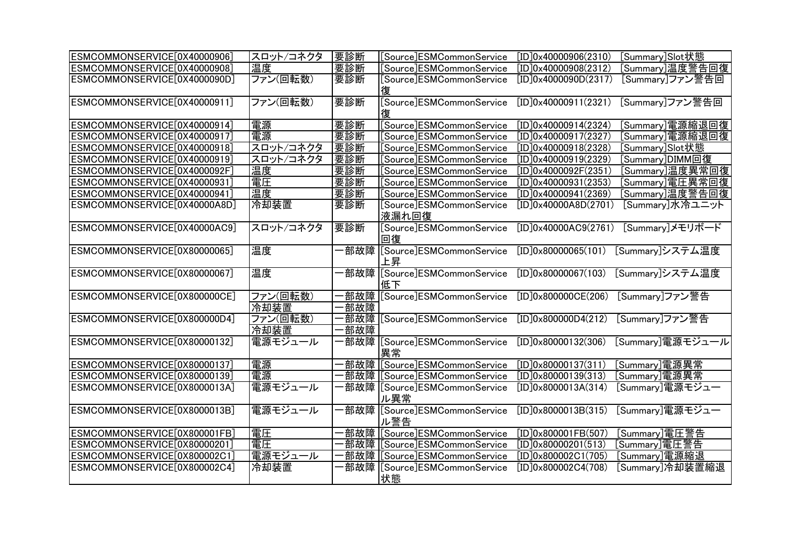| ESMCOMMONSERVICE[0X40000906]                                                                                                                                                                                                                                                                                                                                                                                                 | スロット/コネクタ                                                                                                                    | 要診断                         | [Source]ESMCommonService                                                                                                                                                                                                                                                                                                                                                                                                                           | [ID]0x40000906(2310)                                                                                                                                                                                                                                                                                    | [Summary]Slot状態                                                                                                                                                                                                                                  |
|------------------------------------------------------------------------------------------------------------------------------------------------------------------------------------------------------------------------------------------------------------------------------------------------------------------------------------------------------------------------------------------------------------------------------|------------------------------------------------------------------------------------------------------------------------------|-----------------------------|----------------------------------------------------------------------------------------------------------------------------------------------------------------------------------------------------------------------------------------------------------------------------------------------------------------------------------------------------------------------------------------------------------------------------------------------------|---------------------------------------------------------------------------------------------------------------------------------------------------------------------------------------------------------------------------------------------------------------------------------------------------------|--------------------------------------------------------------------------------------------------------------------------------------------------------------------------------------------------------------------------------------------------|
|                                                                                                                                                                                                                                                                                                                                                                                                                              | 温度                                                                                                                           |                             |                                                                                                                                                                                                                                                                                                                                                                                                                                                    |                                                                                                                                                                                                                                                                                                         |                                                                                                                                                                                                                                                  |
| ESMCOMMONSERVICE[0X40000908]                                                                                                                                                                                                                                                                                                                                                                                                 |                                                                                                                              | 要診断                         | [Source]ESMCommonService                                                                                                                                                                                                                                                                                                                                                                                                                           | [ID]0x40000908(2312)                                                                                                                                                                                                                                                                                    | [Summary]温度警告回復                                                                                                                                                                                                                                  |
| ESMCOMMONSERVICE[0X4000090D]                                                                                                                                                                                                                                                                                                                                                                                                 | ファン(回転数)                                                                                                                     | 要診断                         | [Source]ESMCommonService                                                                                                                                                                                                                                                                                                                                                                                                                           | [ID]0x4000090D(2317)                                                                                                                                                                                                                                                                                    | [Summary]ファン警告回                                                                                                                                                                                                                                  |
|                                                                                                                                                                                                                                                                                                                                                                                                                              |                                                                                                                              |                             |                                                                                                                                                                                                                                                                                                                                                                                                                                                    |                                                                                                                                                                                                                                                                                                         |                                                                                                                                                                                                                                                  |
| ESMCOMMONSERVICE[0X40000911]                                                                                                                                                                                                                                                                                                                                                                                                 | ファン(回転数)                                                                                                                     | 要診断                         | [Source]ESMCommonService                                                                                                                                                                                                                                                                                                                                                                                                                           | [ID]0x40000911(2321)                                                                                                                                                                                                                                                                                    | [Summary]ファン警告回                                                                                                                                                                                                                                  |
|                                                                                                                                                                                                                                                                                                                                                                                                                              |                                                                                                                              |                             |                                                                                                                                                                                                                                                                                                                                                                                                                                                    |                                                                                                                                                                                                                                                                                                         |                                                                                                                                                                                                                                                  |
| ESMCOMMONSERVICE[0X40000914]                                                                                                                                                                                                                                                                                                                                                                                                 | 電源                                                                                                                           | 要診断                         | [Source]ESMCommonService                                                                                                                                                                                                                                                                                                                                                                                                                           | [ID]0x40000914(2324)                                                                                                                                                                                                                                                                                    | [Summary]電源縮退回復                                                                                                                                                                                                                                  |
| ESMCOMMONSERVICE[0X40000917]                                                                                                                                                                                                                                                                                                                                                                                                 | 電源                                                                                                                           | 要診断                         | [Source]ESMCommonService                                                                                                                                                                                                                                                                                                                                                                                                                           | [ID]0x40000917(2327)                                                                                                                                                                                                                                                                                    | [Summary]電源縮退回復                                                                                                                                                                                                                                  |
| ESMCOMMONSERVICE[0X40000918]                                                                                                                                                                                                                                                                                                                                                                                                 | スロット/コネクタ                                                                                                                    | 要診断                         | [Source]ESMCommonService                                                                                                                                                                                                                                                                                                                                                                                                                           | [ID]0x40000918(2328)                                                                                                                                                                                                                                                                                    | [Summary]Slot状態                                                                                                                                                                                                                                  |
| ESMCOMMONSERVICE[0X40000919]                                                                                                                                                                                                                                                                                                                                                                                                 | スロット/コネクタ                                                                                                                    | 要診断                         | [Source]ESMCommonService                                                                                                                                                                                                                                                                                                                                                                                                                           | [ID]0x40000919(2329)                                                                                                                                                                                                                                                                                    | [Summary]DIMM回復                                                                                                                                                                                                                                  |
| ESMCOMMONSERVICE[0X4000092F]                                                                                                                                                                                                                                                                                                                                                                                                 | 温度                                                                                                                           | 要診断                         | [Source]ESMCommonService                                                                                                                                                                                                                                                                                                                                                                                                                           | [ID]0x4000092F(2351)                                                                                                                                                                                                                                                                                    | [Summary]温度異常回復                                                                                                                                                                                                                                  |
| ESMCOMMONSERVICE[0X40000931]                                                                                                                                                                                                                                                                                                                                                                                                 | 電圧                                                                                                                           | 要診断                         | [Source]ESMCommonService                                                                                                                                                                                                                                                                                                                                                                                                                           | [ID]0x40000931(2353)                                                                                                                                                                                                                                                                                    | [Summary]電圧異常回復                                                                                                                                                                                                                                  |
| ESMCOMMONSERVICE[0X40000941]                                                                                                                                                                                                                                                                                                                                                                                                 | 温度                                                                                                                           | 要診断                         | [Source]ESMCommonService                                                                                                                                                                                                                                                                                                                                                                                                                           | [ID]0x40000941(2369)                                                                                                                                                                                                                                                                                    | [Summary]温度警告回復                                                                                                                                                                                                                                  |
| ESMCOMMONSERVICE[0X40000A8D]                                                                                                                                                                                                                                                                                                                                                                                                 | 冷却装置                                                                                                                         | 要診断                         | [Source]ESMCommonService                                                                                                                                                                                                                                                                                                                                                                                                                           | [ID]0x40000A8D(2701)                                                                                                                                                                                                                                                                                    | [Summary]水冷ユニット                                                                                                                                                                                                                                  |
|                                                                                                                                                                                                                                                                                                                                                                                                                              |                                                                                                                              |                             | 液漏れ回復                                                                                                                                                                                                                                                                                                                                                                                                                                              |                                                                                                                                                                                                                                                                                                         |                                                                                                                                                                                                                                                  |
| ESMCOMMONSERVICE[0X40000AC9]                                                                                                                                                                                                                                                                                                                                                                                                 | スロット/コネクタ                                                                                                                    | 要診断                         | [Source]ESMCommonService                                                                                                                                                                                                                                                                                                                                                                                                                           | [ID]0x40000AC9(2761)                                                                                                                                                                                                                                                                                    | [Summary]メモリボード                                                                                                                                                                                                                                  |
|                                                                                                                                                                                                                                                                                                                                                                                                                              |                                                                                                                              |                             | 回復                                                                                                                                                                                                                                                                                                                                                                                                                                                 |                                                                                                                                                                                                                                                                                                         |                                                                                                                                                                                                                                                  |
|                                                                                                                                                                                                                                                                                                                                                                                                                              |                                                                                                                              |                             |                                                                                                                                                                                                                                                                                                                                                                                                                                                    |                                                                                                                                                                                                                                                                                                         |                                                                                                                                                                                                                                                  |
|                                                                                                                                                                                                                                                                                                                                                                                                                              |                                                                                                                              |                             |                                                                                                                                                                                                                                                                                                                                                                                                                                                    |                                                                                                                                                                                                                                                                                                         |                                                                                                                                                                                                                                                  |
|                                                                                                                                                                                                                                                                                                                                                                                                                              |                                                                                                                              |                             |                                                                                                                                                                                                                                                                                                                                                                                                                                                    |                                                                                                                                                                                                                                                                                                         |                                                                                                                                                                                                                                                  |
|                                                                                                                                                                                                                                                                                                                                                                                                                              |                                                                                                                              |                             |                                                                                                                                                                                                                                                                                                                                                                                                                                                    |                                                                                                                                                                                                                                                                                                         |                                                                                                                                                                                                                                                  |
|                                                                                                                                                                                                                                                                                                                                                                                                                              |                                                                                                                              |                             |                                                                                                                                                                                                                                                                                                                                                                                                                                                    |                                                                                                                                                                                                                                                                                                         |                                                                                                                                                                                                                                                  |
|                                                                                                                                                                                                                                                                                                                                                                                                                              |                                                                                                                              |                             |                                                                                                                                                                                                                                                                                                                                                                                                                                                    |                                                                                                                                                                                                                                                                                                         |                                                                                                                                                                                                                                                  |
|                                                                                                                                                                                                                                                                                                                                                                                                                              |                                                                                                                              |                             |                                                                                                                                                                                                                                                                                                                                                                                                                                                    |                                                                                                                                                                                                                                                                                                         |                                                                                                                                                                                                                                                  |
|                                                                                                                                                                                                                                                                                                                                                                                                                              |                                                                                                                              |                             |                                                                                                                                                                                                                                                                                                                                                                                                                                                    |                                                                                                                                                                                                                                                                                                         |                                                                                                                                                                                                                                                  |
|                                                                                                                                                                                                                                                                                                                                                                                                                              |                                                                                                                              |                             |                                                                                                                                                                                                                                                                                                                                                                                                                                                    |                                                                                                                                                                                                                                                                                                         |                                                                                                                                                                                                                                                  |
|                                                                                                                                                                                                                                                                                                                                                                                                                              |                                                                                                                              |                             |                                                                                                                                                                                                                                                                                                                                                                                                                                                    |                                                                                                                                                                                                                                                                                                         |                                                                                                                                                                                                                                                  |
|                                                                                                                                                                                                                                                                                                                                                                                                                              |                                                                                                                              | 部故障                         |                                                                                                                                                                                                                                                                                                                                                                                                                                                    |                                                                                                                                                                                                                                                                                                         |                                                                                                                                                                                                                                                  |
|                                                                                                                                                                                                                                                                                                                                                                                                                              |                                                                                                                              |                             |                                                                                                                                                                                                                                                                                                                                                                                                                                                    |                                                                                                                                                                                                                                                                                                         |                                                                                                                                                                                                                                                  |
|                                                                                                                                                                                                                                                                                                                                                                                                                              |                                                                                                                              |                             |                                                                                                                                                                                                                                                                                                                                                                                                                                                    |                                                                                                                                                                                                                                                                                                         |                                                                                                                                                                                                                                                  |
|                                                                                                                                                                                                                                                                                                                                                                                                                              |                                                                                                                              |                             |                                                                                                                                                                                                                                                                                                                                                                                                                                                    |                                                                                                                                                                                                                                                                                                         |                                                                                                                                                                                                                                                  |
|                                                                                                                                                                                                                                                                                                                                                                                                                              |                                                                                                                              |                             |                                                                                                                                                                                                                                                                                                                                                                                                                                                    |                                                                                                                                                                                                                                                                                                         |                                                                                                                                                                                                                                                  |
|                                                                                                                                                                                                                                                                                                                                                                                                                              |                                                                                                                              |                             |                                                                                                                                                                                                                                                                                                                                                                                                                                                    |                                                                                                                                                                                                                                                                                                         |                                                                                                                                                                                                                                                  |
|                                                                                                                                                                                                                                                                                                                                                                                                                              |                                                                                                                              |                             |                                                                                                                                                                                                                                                                                                                                                                                                                                                    |                                                                                                                                                                                                                                                                                                         |                                                                                                                                                                                                                                                  |
|                                                                                                                                                                                                                                                                                                                                                                                                                              |                                                                                                                              |                             |                                                                                                                                                                                                                                                                                                                                                                                                                                                    |                                                                                                                                                                                                                                                                                                         |                                                                                                                                                                                                                                                  |
|                                                                                                                                                                                                                                                                                                                                                                                                                              |                                                                                                                              |                             |                                                                                                                                                                                                                                                                                                                                                                                                                                                    |                                                                                                                                                                                                                                                                                                         |                                                                                                                                                                                                                                                  |
|                                                                                                                                                                                                                                                                                                                                                                                                                              |                                                                                                                              |                             |                                                                                                                                                                                                                                                                                                                                                                                                                                                    |                                                                                                                                                                                                                                                                                                         |                                                                                                                                                                                                                                                  |
|                                                                                                                                                                                                                                                                                                                                                                                                                              |                                                                                                                              |                             | 状態                                                                                                                                                                                                                                                                                                                                                                                                                                                 |                                                                                                                                                                                                                                                                                                         |                                                                                                                                                                                                                                                  |
| ESMCOMMONSERVICE[0X80000065]<br>ESMCOMMONSERVICE[0X80000067]<br>ESMCOMMONSERVICE[0X800000CE]<br>ESMCOMMONSERVICE[0X800000D4]<br>ESMCOMMONSERVICE[0X80000132]<br>ESMCOMMONSERVICE[0X80000137]<br>ESMCOMMONSERVICE[0X80000139]<br>ESMCOMMONSERVICE[0X8000013A]<br>ESMCOMMONSERVICE[0X8000013B]<br>ESMCOMMONSERVICE[0X800001FB]<br>ESMCOMMONSERVICE[0X80000201]<br>ESMCOMMONSERVICE[0X800002C1]<br>ESMCOMMONSERVICE[0X800002C4] | 温度<br>温度<br>ファン(回転数)<br>冷却装置<br>ファン(回転数)<br>冷却装置<br>電源モジュール<br>電源<br>電源<br>電源モジュール<br>電源モジュール<br>電圧<br>電圧<br>電源モジュール<br>冷却装置 | ·部故障 <br>·部故障<br>部故障<br>部故障 | 部故障 [Source]ESMCommonService<br>上昇<br>[Source]ESMCommonService<br>低下<br>部故障 [Source]ESMCommonService<br>部故障 [Source]ESMCommonService<br>部故障 [Source]ESMCommonService<br>異常<br>[Source]ESMCommonService<br>[Source]ESMCommonService<br>部故障  [Source]ESMCommonService<br>ル異常<br>部故障 [Source]ESMCommonService<br>ル警告<br>部故障 [Source]ESMCommonService<br>部故障 [Source]ESMCommonService<br>部故障 [Source]ESMCommonService<br>部故障  [Source]ESMCommonService | [ID]0x80000065(101)<br>[ID]0x80000067(103)<br>[ID]0x800000CE(206)<br>[ID]0x800000D4(212)<br>[ID]0x80000132(306)<br>[ID]0x80000137(311)<br>[ID]0x80000139(313)<br>[ID]0x8000013A(314)<br>[ID]0x8000013B(315)<br>[ID]0x800001FB(507)<br>[ID]0x80000201(513)<br>[ID]0x800002C1(705)<br>[ID]0x800002C4(708) | [Summary]システム温度<br>[Summary]システム温度<br>[Summary]ファン警告<br>[Summary]ファン警告<br>[Summary]電源モジュール<br>[Summary]電源異常<br>[Summary]電源異常<br>[Summary]電源モジュー<br>[Summary]電源モジュー<br><u>[Summa</u> ry]電圧警告<br>[Summary]電圧警告<br>[Summary]電源縮退<br>[Summary]冷却装置縮退 |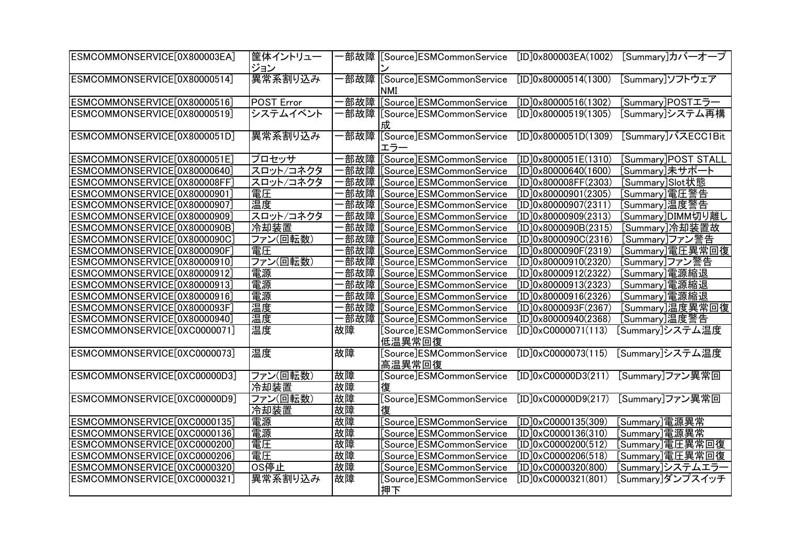| ESMCOMMONSERVICE[0X800003EA] | 筐体イントリュー<br>ジョン |     | 部故障 [Source]ESMCommonService               | [ID]0x800003EA(1002)          | [Summary]カバーオープ     |
|------------------------------|-----------------|-----|--------------------------------------------|-------------------------------|---------------------|
| ESMCOMMONSERVICE[0X80000514] | 異常系割り込み         |     | 部故障 [Source]ESMCommonService<br><b>NMI</b> | [ID]0x80000514(1300)          | [Summary]ソフトウェア     |
| ESMCOMMONSERVICE[0X80000516] | POST Error      | 部故障 | [Source]ESMCommonService                   | [ID]0x80000516(1302)          | [Summary]POSTエラー    |
| ESMCOMMONSERVICE[0X80000519] | システムイベント        |     | 部故障   Source   ESM Common Service<br>成     | [ID]0x80000519(1305)          | [Summary]システム再構     |
| ESMCOMMONSERVICE[0X8000051D] | 異常系割り込み         |     | ·部故障  [Source]ESMCommonService<br>エラー      | [ID]0x8000051D(1309)          | [Summary]バスECC1Bit  |
| ESMCOMMONSERVICE[0X8000051E] | プロセッサ           | 部故障 | [Source]ESMCommonService                   | [ID]0x8000051E(1310)          | [Summary]POST STALL |
| ESMCOMMONSERVICE[0X80000640] | スロット/コネクタ       | 部故障 | [Source]ESMCommonService                   | [ID]0x80000640(1600)          | [Summary]未サポート      |
| ESMCOMMONSERVICE[0X800008FF] | スロット/コネクタ       | 部故障 | [Source]ESMCommonService                   | [ID]0x800008FF(2303)          | [Summary]Slot状態     |
| ESMCOMMONSERVICE[0X80000901] | 電圧              |     | 部故障 [Source]ESMCommonService               | [ID]0x80000901(2305)          | [Summary]電圧警告       |
| ESMCOMMONSERVICE[0X80000907] | 温度              |     | ·部故障 [Source]ESMCommonService              | [ID]0x80000907(2311)          | [Summary]温度警告       |
| ESMCOMMONSERVICE[0X80000909] | スロット/コネクタ       |     | 部故障 [Source]ESMCommonService               | [ID]0x80000909(2313)          | [Summary]DIMM切り離し   |
| ESMCOMMONSERVICE[0X8000090B] | 冷却装置            |     | 部故障 [Source]ESMCommonService               | [ID]0x8000090B(2315)          | [Summary]冷却装置故      |
| ESMCOMMONSERVICE[0X8000090C] | ファン(回転数)        |     | 部故障  [Source]ESMCommonService              | [ID]0x8000090C(2316)          | [Summary]ファン警告      |
| ESMCOMMONSERVICE[0X8000090F] | 電圧              |     | 部故障 [Source]ESMCommonService               | [ID]0x8000090F(2319)          | Summary]電圧異常回復      |
| ESMCOMMONSERVICE[0X80000910] | ファン(回転数)        |     | 部故障 [Source]ESMCommonService               | [ID]0x80000910(2320)          | [Summary]ファン警告      |
| ESMCOMMONSERVICE[0X80000912] | 電源              |     | ·部故障  [Source]ESMCommonService             | [ID]0x80000912(2322)          | [Summary]電源縮退       |
| ESMCOMMONSERVICE[0X80000913] | 電源              |     | 部故障 [Source]ESMCommonService               | [ID]0x80000913(2323)          | [Summary]電源縮退       |
| ESMCOMMONSERVICE[0X80000916] | 電源              |     | 部故障 [Source]ESMCommonService               | [ID]0x80000916(2326)          | [Summary]電源縮退       |
| ESMCOMMONSERVICE[0X8000093F] | 温度              |     | 部故障 [Source]ESMCommonService               | [ID]0x8000093F(2367)          | [Summary]温度異常回復     |
| ESMCOMMONSERVICE[0X80000940] | 温度              | 部故障 | [Source]ESMCommonService                   | [ID]0x80000940(2368)          | Summary]温度警告        |
| ESMCOMMONSERVICE[0XC0000071] | 温度              | 故障  | [Source]ESMCommonService<br>低温異常回復         | $[ID]0 \times CO000071(113)$  | [Summary]システム温度     |
| ESMCOMMONSERVICE[0XC0000073] | 温度              | 故障  | [Source]ESMCommonService<br>高温異常回復         | $[ID]0 \times CO 000073(115)$ | [Summary]システム温度     |
| ESMCOMMONSERVICE[0XC00000D3] | ファン(回転数)        | 故障  | [Source]ESMCommonService                   | [ID]0xC00000D3(211)           | [Summary]ファン異常回     |
|                              | 冷却装置            | 故障  | 復                                          |                               |                     |
| ESMCOMMONSERVICE[0XC00000D9] | ファン(回転数)        | 故障  | [Source]ESMCommonService                   | $[ID]0 \times CO0000D9(217)$  | [Summary]ファン異常回     |
|                              | 冷却装置            | 故障  | 復                                          |                               |                     |
| ESMCOMMONSERVICE[0XC0000135] | 電源              | 故障  | [Source]ESMCommonService                   | $[ID]0 \times C0000135(309)$  | [Summary]電源異常       |
| ESMCOMMONSERVICE[0XC0000136] | 電源              | 故障  | [Source]ESMCommonService                   | $[ID]0 \times CO000136(310)$  | [Summary]電源異常       |
| ESMCOMMONSERVICE[0XC0000200] | 電圧              | 故障  | [Source]ESMCommonService                   | $[ID]0 \times CO 000200(512)$ | [Summary]電圧異常回復     |
| ESMCOMMONSERVICE[0XC0000206] | 電圧              | 故障  | [Source]ESMCommonService                   | $[ID]0 \times CO000206(518)$  | [Summary]電圧異常回復     |
| ESMCOMMONSERVICE[0XC0000320] | OS停止            | 故障  | [Source]ESMCommonService                   | $[ID]0 \times CO 000320(800)$ | [Summary]システムエラー    |
| ESMCOMMONSERVICE[0XC0000321] | 異常系割り込み         | 故障  | [Source]ESMCommonService<br>押下             | $[ID]0 \times CO 000321(801)$ | [Summary]ダンプスイッチ    |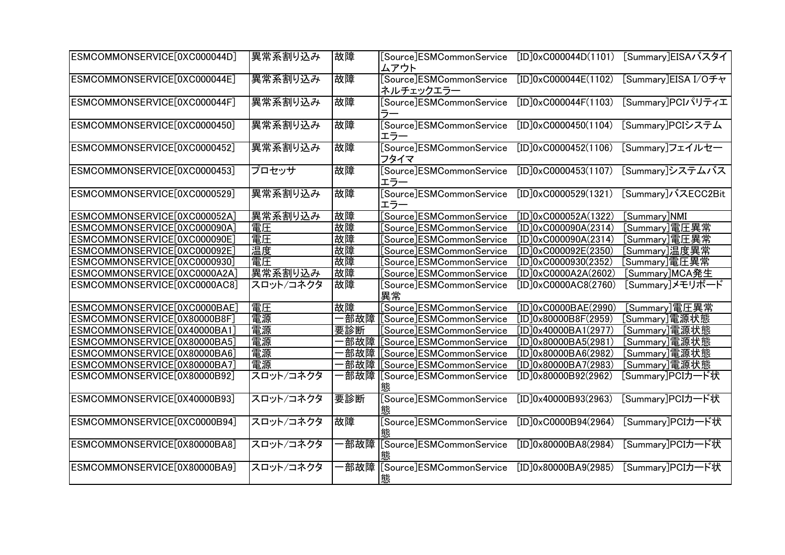| ESMCOMMONSERVICE[0XC000044D] | 異常系割り込み   | 故障   | [Source]ESMCommonService<br>ムアウト      | $[ID]0 \times CO00044D(1101)$       | [Summary]EISAバスタイ   |
|------------------------------|-----------|------|---------------------------------------|-------------------------------------|---------------------|
| ESMCOMMONSERVICE[0XC000044E] | 異常系割り込み   | 故障   | [Source]ESMCommonService<br>ネルチェックエラー | $[ID]0 \times CO00044E(1102)$       | [Summary]EISA I/Oチャ |
| ESMCOMMONSERVICE[0XC000044F] | 異常系割り込み   | 故障   | [Source]ESMCommonService<br>ラー        | $[ID]0 \times CO00044F(1103)$       | [Summary]PCIパリティエ   |
| ESMCOMMONSERVICE[0XC0000450] | 異常系割り込み   | 故障   | [Source]ESMCommonService<br>エラー       | $[ID]0 \times CO000450(1104)$       | [Summary]PCIシステム    |
| ESMCOMMONSERVICE[0XC0000452] | 異常系割り込み   | 故障   | [Source]ESMCommonService<br>フタイマ      | $[ID]0 \times C0000452(1106)$       | [Summary]フェイルセー     |
| ESMCOMMONSERVICE[0XC0000453] | プロセッサ     | 故障   | [Source]ESMCommonService<br>エラー       | $[ID]0 \times CO000453(1107)$       | [Summary]システムバス     |
| ESMCOMMONSERVICE[0XC0000529] | 異常系割り込み   | 故障   | [Source]ESMCommonService<br>エラー       | $[ID]0 \times C0000529(1321)$       | [Summary]バスECC2Bit  |
| ESMCOMMONSERVICE[0XC000052A] | 異常系割り込み   | 故障   | [Source]ESMCommonService              | [ID]0xC000052A(1322)                | [Summary]NMI        |
| ESMCOMMONSERVICE[0XC000090A] | 電圧        | 故障   | [Source]ESMCommonService              | $\boxed{\text{ID}$ OxC000090A(2314) | [Summary]電圧異常       |
| ESMCOMMONSERVICE[0XC000090E] | 電圧        | 故障   | [Source]ESMCommonService              | $[ID]0 \times CO00090A(2314)$       | [Summary]電圧異常       |
| ESMCOMMONSERVICE[0XC000092E] | 温度        | 故障   | [Source]ESMCommonService              | $[ID]0 \times CO00092E(2350)$       | [Summary]温度異常       |
| ESMCOMMONSERVICE[0XC0000930] | 電圧        | 故障   | [Source]ESMCommonService              | $[ID]0 \times C0000930(2352)$       | [Summary]電圧異常       |
| ESMCOMMONSERVICE[0XC0000A2A] | 異常系割り込み   | 故障   | [Source]ESMCommonService              | [ID]0xCO000A2A(2602)                | [Summary]MCA発生      |
| ESMCOMMONSERVICE[0XC0000AC8] | スロット/コネクタ | 故障   | [Source]ESMCommonService<br>異常        | $[ID]0 \times CO000AC8(2760)$       | [Summary]メモリボード     |
| ESMCOMMONSERVICE[0XC0000BAE] | 電圧        | 故障   | [Source]ESMCommonService              | [ID]0xC0000BAE(2990)                | [Summary]電圧異常       |
| ESMCOMMONSERVICE[0X80000B8F] | 電源        | 部故障  | [Source]ESMCommonService              | [ID]0x80000B8F(2959)                | [Summary]電源状態       |
| ESMCOMMONSERVICE[0X40000BA1] | 電源        | 要診断  | [Source]ESMCommonService              | [ID]0x40000BA1(2977)                | [Summary]電源状態       |
| ESMCOMMONSERVICE[0X80000BA5] | 電源        | 部故障  | [Source]ESMCommonService              | [ID]0x80000BA5(2981)                | [Summary]電源状態       |
| ESMCOMMONSERVICE[0X80000BA6] | 電源        | 部故障  | [Source]ESMCommonService              | [ID]0x80000BA6(2982)                | [Summary]電源状態       |
| ESMCOMMONSERVICE[0X80000BA7] | 電源        | ·部故障 | [Source]ESMCommonService              | [ID]0x80000BA7(2983)                | [Summary]電源状態       |
| ESMCOMMONSERVICE[0X80000B92] | スロット/コネクタ | 部故障  | [Source]ESMCommonService              | [ID]0x80000B92(2962)                | [Summary]PCIカード状    |
| ESMCOMMONSERVICE[0X40000B93] | スロット/コネクタ | 要診断  | [Source]ESMCommonService<br>態         | [ID]0x40000B93(2963)                | [Summary]PCIカード状    |
| ESMCOMMONSERVICE[0XC0000B94] | スロット/コネクタ | 故障   | [Source]ESMCommonService<br>態         | $[ID]0 \times CO000B94(2964)$       | [Summary]PCIカード状    |
| ESMCOMMONSERVICE[0X80000BA8] | スロット/コネクタ | ·部故障 | [Source]ESMCommonService<br>熊         | [ID]0x80000BA8(2984)                | [Summary]PCIカード状    |
| ESMCOMMONSERVICE[0X80000BA9] | スロット/コネクタ | 部故障  | [Source]ESMCommonService<br>能         | [ID]0x80000BA9(2985)                | [Summary]PCIカード状    |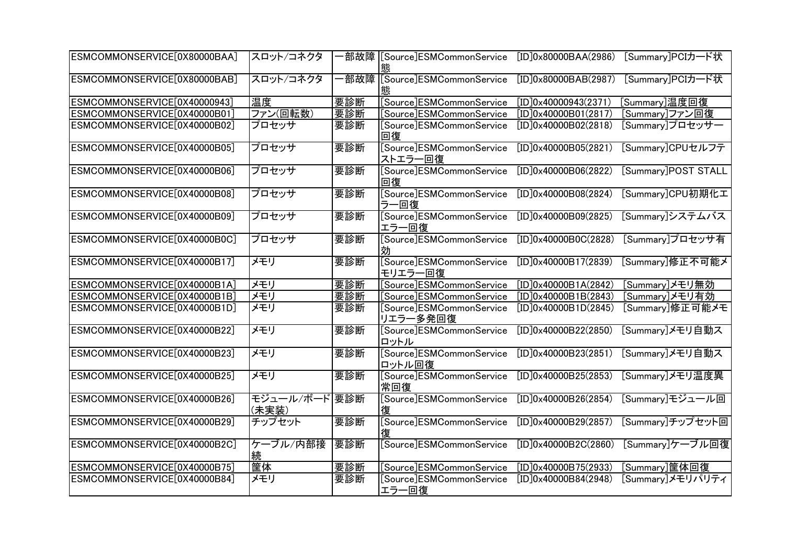| ESMCOMMONSERVICE[0X80000BAA] | スロット/コネクタ              |     | ·部故障  [Source]ESMCommonService<br>熊  | [ID]0x80000BAA(2986) | [Summary]PCIカード状    |
|------------------------------|------------------------|-----|--------------------------------------|----------------------|---------------------|
| ESMCOMMONSERVICE[0X80000BAB] | スロット/コネクタ              |     | ·部故障 [Source]ESMCommonService<br>態   | [ID]0x80000BAB(2987) | [Summary]PCIカード状    |
| ESMCOMMONSERVICE[0X40000943] | 温度                     | 要診断 | [Source]ESMCommonService             | [ID]0x40000943(2371) | [Summary]温度回復       |
| ESMCOMMONSERVICE[0X40000B01] | ファン(回転数)               | 要診断 | [Source]ESMCommonService             | [ID]0x40000B01(2817) | [Summary]ファン回復      |
| ESMCOMMONSERVICE[0X40000B02] | プロセッサ                  | 要診断 | [Source]ESMCommonService<br>回復       | [ID]0x40000B02(2818) | [Summary]プロセッサー     |
| ESMCOMMONSERVICE[0X40000B05] | プロセッサ                  | 要診断 | [Source]ESMCommonService<br>ストエラー回復  | [ID]0x40000B05(2821) | [Summary]CPUセルフテ    |
| ESMCOMMONSERVICE[0X40000B06] | プロセッサ                  | 要診断 | [Source]ESMCommonService<br>回復       | [ID]0x40000B06(2822) | [Summary]POST STALL |
| ESMCOMMONSERVICE[0X40000B08] | プロセッサ                  | 要診断 | [Source]ESMCommonService<br>ラー回復     | [ID]0x40000B08(2824) | [Summary]CPU初期化工    |
| ESMCOMMONSERVICE[0X40000B09] | プロセッサ                  | 要診断 | [Source]ESMCommonService<br>エラー回復    | [ID]0x40000B09(2825) | [Summary]システムバス     |
| ESMCOMMONSERVICE[0X40000B0C] | プロセッサ                  | 要診断 | [Source]ESMCommonService<br>効        | [ID]0x40000B0C(2828) | [Summary]プロセッサ有     |
| ESMCOMMONSERVICE[0X40000B17] | メモリ                    | 要診断 | [Source]ESMCommonService<br>モリエラー回復  | [ID]0x40000B17(2839) | [Summary]修正不可能メ     |
| ESMCOMMONSERVICE[0X40000B1A] | メモリ                    | 要診断 | [Source]ESMCommonService             | [ID]0x40000B1A(2842) | [Summary]メモリ無効      |
| ESMCOMMONSERVICE[0X40000B1B] | メモリ                    | 要診断 | [Source]ESMCommonService             | [ID]0x40000B1B(2843) | [Summary]メモリ有効      |
| ESMCOMMONSERVICE[0X40000B1D] | メモリ                    | 要診断 | [Source]ESMCommonService<br>リエラー多発回復 | [ID]0x40000B1D(2845) | [Summary]修正可能メモ     |
| ESMCOMMONSERVICE[0X40000B22] | メモリ                    | 要診断 | [Source]ESMCommonService<br>ロットル     | [ID]0x40000B22(2850) | [Summary]メモリ自動ス     |
| ESMCOMMONSERVICE[0X40000B23] | メモリ                    | 要診断 | [Source]ESMCommonService<br>ロットル回復   | [ID]0x40000B23(2851) | [Summary]メモリ自動ス     |
| ESMCOMMONSERVICE[0X40000B25] | メモリ                    | 要診断 | [Source]ESMCommonService<br>常回復      | [ID]0x40000B25(2853) | [Summary]メモリ温度異     |
| ESMCOMMONSERVICE[0X40000B26] | モジュール/ボード 要診断<br>(未実装) |     | [Source]ESMCommonService             | [ID]0x40000B26(2854) | [Summary]モジュール回     |
| ESMCOMMONSERVICE[0X40000B29] | チップセット                 | 要診断 | [Source]ESMCommonService             | [ID]0x40000B29(2857) | [Summary]チップセット回    |
| ESMCOMMONSERVICE[0X40000B2C] | ケーブル/内部接<br>続          | 要診断 | [Source]ESMCommonService             | [ID]0x40000B2C(2860) | [Summary]ケーブル回復     |
| ESMCOMMONSERVICE[0X40000B75] | 筐体                     | 要診断 | [Source]ESMCommonService             | [ID]0x40000B75(2933) | [Summary]筐体回復       |
| ESMCOMMONSERVICE[0X40000B84] | メモリ                    | 要診断 | [Source]ESMCommonService<br>エラー回復    | [ID]0x40000B84(2948) | [Summary]メモリパリティ    |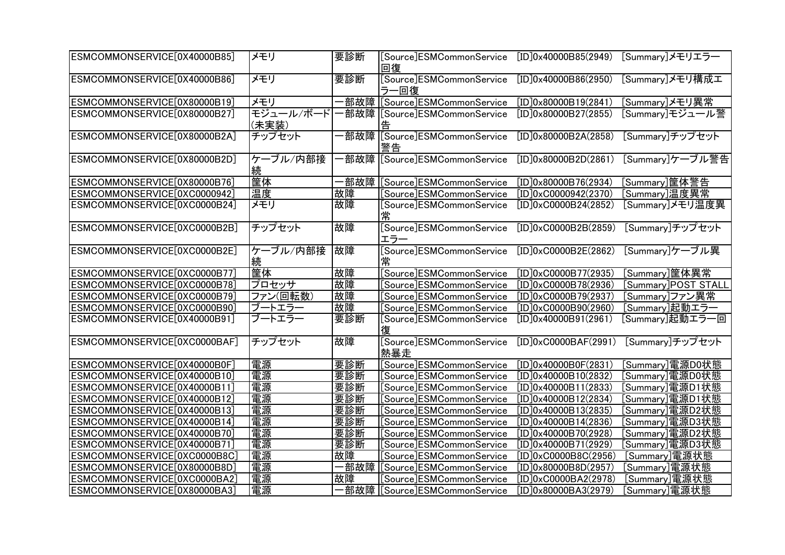| ESMCOMMONSERVICE[0X40000B85] | メモリ                | 要診断  | [Source]ESMCommonService<br>回復     | [ID]0x40000B85(2949)          | [Summary]メモリエラー     |
|------------------------------|--------------------|------|------------------------------------|-------------------------------|---------------------|
| ESMCOMMONSERVICE[0X40000B86] | メモリ                | 要診断  | [Source]ESMCommonService<br>ラー回復   | [ID]0x40000B86(2950)          | [Summary]メモリ構成エ     |
| ESMCOMMONSERVICE[0X80000B19] | メモリ                |      | -部故障 [Source]ESMCommonService      | [ID]0x80000B19(2841)          | [Summary]メモリ異常      |
| ESMCOMMONSERVICE[0X80000B27] | モジュール/ボード<br>(未実装) |      | 部故障  [Source]ESMCommonService      | [ID]0x80000B27(2855)          | [Summary]モジュール警     |
| ESMCOMMONSERVICE[0X80000B2A] | チップセット             |      | 部故障 [Source]ESMCommonService<br>警告 | [ID]0x80000B2A(2858)          | [Summary]チップセット     |
| ESMCOMMONSERVICE[0X80000B2D] | ケーブル/内部接<br>続      |      | 部故障 [Source]ESMCommonService       | [ID]0x80000B2D(2861)          | [Summary]ケーブル警告     |
| ESMCOMMONSERVICE[0X80000B76] | 筐体                 | 部故障  | [Source]ESMCommonService           | [ID]0x80000B76(2934)          | [Summary]筐体警告       |
| ESMCOMMONSERVICE[0XC0000942] | 温度                 | 故障   | [Source]ESMCommonService           | $[ID]0 \times CO000942(2370)$ | [Summary]温度異常       |
| ESMCOMMONSERVICE[0XC0000B24] | メモリ                | 故障   | [Source]ESMCommonService<br>常      | $[ID]0 \times CO000B24(2852)$ | [Summary]メモリ温度異     |
| ESMCOMMONSERVICE[0XC0000B2B] | チップセット             | 故障   | [Source]ESMCommonService<br>エラー    | [ID]0xC0000B2B(2859)          | [Summary]チップセット     |
| ESMCOMMONSERVICE[0XC0000B2E] | ケーブル/内部接           | 故障   | [Source]ESMCommonService           | $[ID]0 \times CO000B2E(2862)$ | [Summary]ケーブル異      |
| ESMCOMMONSERVICE[0XC0000B77] | 筐体                 | 故障   | [Source]ESMCommonService           | $[ID]0 \times CO000B77(2935)$ | [Summary]筐体異常       |
| ESMCOMMONSERVICE[0XC0000B78] | プロセッサ              | 故障   | [Source]ESMCommonService           | [ID]0xC0000B78(2936)          | [Summary]POST STALL |
| ESMCOMMONSERVICE[0XC0000B79] | ファン(回転数)           | 故障   | [Source]ESMCommonService           | [ID]0xC0000B79(2937)          | [Summary]ファン異常      |
| ESMCOMMONSERVICE[0XC0000B90] | ブートエラー             | 故障   | [Source]ESMCommonService           | [ID]0xC0000B90(2960)          | [Summary]起動エラー      |
| ESMCOMMONSERVICE[0X40000B91] | ブートエラー             | 要診断  | [Source]ESMCommonService           | [ID]0x40000B91(2961)          | [Summary]起動エラー回     |
| ESMCOMMONSERVICE[0XC0000BAF] | チップセット             | 故障   | [Source]ESMCommonService<br>熱暴走    | $[ID]0 \times CO000BAF(2991)$ | [Summary]チップセット     |
| ESMCOMMONSERVICE[0X40000B0F] | 電源                 | 要診断  | [Source]ESMCommonService           | [ID]0x40000B0F(2831)          | [Summary]電源D0状態     |
| ESMCOMMONSERVICE[0X40000B10] | 電源                 | 要診断  | [Source]ESMCommonService           | [ID]0x40000B10(2832)          | [Summary]電源D0状態     |
| ESMCOMMONSERVICE[0X40000B11] | 電源                 | 要診断  | [Source]ESMCommonService           | [ID]0x40000B11(2833)          | [Summary]電源D1状態     |
| ESMCOMMONSERVICE[0X40000B12] | 電源                 | 要診断  | [Source]ESMCommonService           | [ID]0x40000B12(2834)          | [Summary]電源D1状態     |
| ESMCOMMONSERVICE[0X40000B13] | 電源                 | 要診断  | [Source]ESMCommonService           | [ID]0x40000B13(2835)          | [Summary]電源D2状態     |
| ESMCOMMONSERVICE[0X40000B14] | 電源                 | 要診断  | [Source]ESMCommonService           | [ID]0x40000B14(2836)          | [Summary]電源D3状態     |
| ESMCOMMONSERVICE[0X40000B70] | 電源                 | 要診断  | [Source]ESMCommonService           | [ID]0x40000B70(2928)          | [Summary]電源D2状態     |
| ESMCOMMONSERVICE[0X40000B71] | 電源                 | 要診断  | [Source]ESMCommonService           | [ID]0x40000B71(2929)          | [Summary]電源D3状態     |
| ESMCOMMONSERVICE[0XC0000B8C] | 電源                 | 故障   | [Source]ESMCommonService           | [ID]0xC0000B8C(2956)          | [Summary]電源状態       |
| ESMCOMMONSERVICE[0X80000B8D] | 電源                 | -部故障 | [Source]ESMCommonService           | [ID]0x80000B8D(2957)          | [Summary]電源状態       |
| ESMCOMMONSERVICE[0XC0000BA2] | 電源                 | 故障   | [Source]ESMCommonService           | [ID]0xC0000BA2(2978)          | [Summary]電源状態       |
| ESMCOMMONSERVICE[0X80000BA3] | 電源                 |      |                                    | [ID]0x80000BA3(2979)          | [Summary]電源状態       |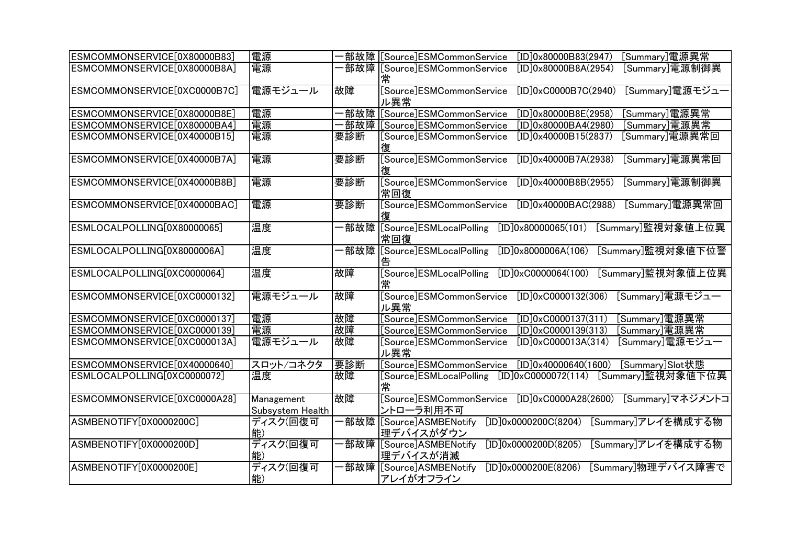| ESMCOMMONSERVICE[0X80000B83] | 電源                             |       | [Summary]電源異常<br>部故障 [Source]ESMCommonService<br>[ID]0x80000B83(2947)                     |
|------------------------------|--------------------------------|-------|-------------------------------------------------------------------------------------------|
| ESMCOMMONSERVICE[0X80000B8A] | 電源                             |       | 部故障  [Source]ESMCommonService<br>[ID]0x80000B8A(2954)<br>[Summary]電源制御異                   |
|                              |                                |       |                                                                                           |
| ESMCOMMONSERVICE[0XC0000B7C] | 電源モジュール                        | 故障    | [Source]ESMCommonService<br>[Summary]電源モジュー<br>[ID]0xC0000B7C(2940)<br>ル異常                |
| ESMCOMMONSERVICE[0X80000B8E] | 電源                             | 部故障   | [Summary]電源異常<br>[Source]ESMCommonService<br>[ID]0x80000B8E(2958)                         |
| ESMCOMMONSERVICE[0X80000BA4] | 電源                             |       | [Summary]電源異常<br>·部故障  [Source]ESMCommonService<br>[ID]0x80000BA4(2980)                   |
| ESMCOMMONSERVICE[0X40000B15] | 電源                             | 要診断   | [Summary]電源異常回<br>[Source]ESMCommonService<br>[ID]0x40000B15(2837)<br>復                   |
| ESMCOMMONSERVICE[0X40000B7A] | 電源                             | 要診断   | [Source]ESMCommonService<br>[ID]0x40000B7A(2938)<br>[Summary]電源異常回<br>復                   |
| ESMCOMMONSERVICE[0X40000B8B] | 電源                             | 要診断   | [Source]ESMCommonService<br>[Summary]電源制御異<br>[ID]0x40000B8B(2955)<br>常回復                 |
| ESMCOMMONSERVICE[0X40000BAC] | 電源                             | 要診断   | [Summary]電源異常回<br>[Source]ESMCommonService<br>[ID]0x40000BAC(2988)<br>復                   |
| ESMLOCALPOLLING[0X80000065]  | 温度                             | ·部故障! | [Source]ESMLocalPolling<br>[Summary]監視対象値上位異<br>[ID]0x80000065(101)<br>常回復                |
| ESMLOCALPOLLING[0X8000006A]  | 温度                             | 部故障   | [Source]ESMLocalPolling<br>[ID]0x8000006A(106)<br>[Summary]監視対象値下位警<br>告                  |
| ESMLOCALPOLLING[0XC0000064]  | 温度                             | 故障    | [Source]ESMLocalPolling<br>[Summary]監視対象値上位異<br>$[ID]0 \times C0000064(100)$<br>常         |
| ESMCOMMONSERVICE[0XC0000132] | 電源モジュール                        | 故障    | [Source]ESMCommonService<br>[Summary]電源モジュー<br>$[ID]0 \times C0000132(306)$<br>ル異常        |
| ESMCOMMONSERVICE[0XC0000137] | 電源                             | 故障    | [Source]ESMCommonService<br>$[ID]0 \times CO 000137(311)$<br>[Summary]電源異常                |
| ESMCOMMONSERVICE[0XC0000139] | 電源                             | 故障    | [Source]ESMCommonService<br>$[ID]0 \times CO 000139(313)$<br>[Summary]電源異常                |
| ESMCOMMONSERVICE[0XC000013A] | 電源モジュール                        | 故障    | [Summary]電源モジュー<br>[Source]ESMCommonService<br>$[ID]0 \times CO 00013A(314)$<br>ル異常       |
| ESMCOMMONSERVICE[0X40000640] | スロット/コネクタ                      | 要診断   | [Summary]Slot状態<br>[Source]ESMCommonService<br>[ID]0x40000640(1600)                       |
| ESMLOCALPOLLING[0XC0000072]  | 温度                             | 故障    | [Summary]監視対象値下位異<br>$[ID]0 \times C0000072(114)$<br>[Source]ESMLocalPolling<br>常         |
| ESMCOMMONSERVICE[0XC0000A28] | Management<br>Subsystem Health | 故障    | Source]ESMCommonService<br>$[ID]0 \times CO000A28(2600)$<br>[Summary]マネジメントコ<br>ントローラ利用不可 |
| ASMBENOTIFY[0X0000200C]      | ディスク(回復可<br>能)                 |       | ·部故障 [Source]ASMBENotify<br>[Summary]アレイを構成する物<br>[ID]0x0000200C(8204)<br>理デバイスがダウン       |
| ASMBENOTIFY[0X0000200D]      | ディスク(回復可<br>能)                 |       | ·部故障 [Source]ASMBENotify<br>[Summary]アレイを構成する物<br>[ID]0x0000200D(8205)<br>理デバイスが消滅        |
| ASMBENOTIFY[0X0000200E]      | ディスク(回復可<br>能)                 |       | 部故障 [Source]ASMBENotify<br>[Summary]物理デバイス障害で<br>[ID]0x0000200E(8206)<br>アレイがオフライン        |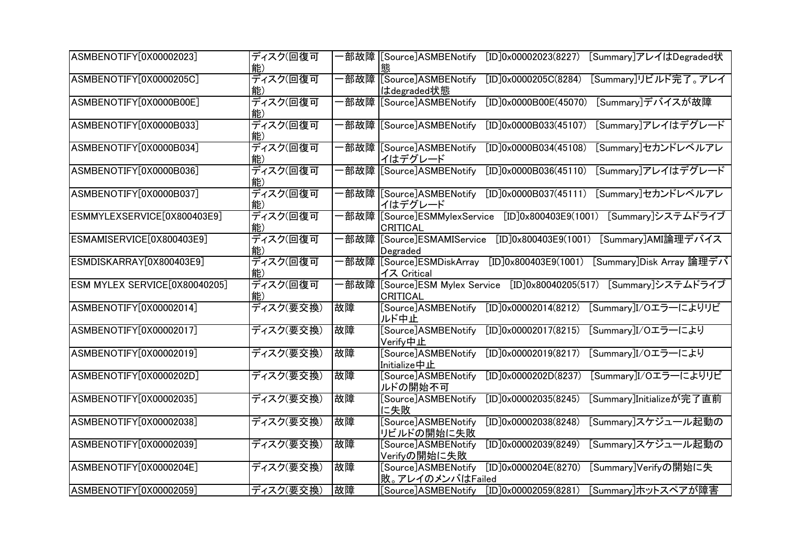| ASMBENOTIFY[0X00002023]       | ディスク(回復可<br>能) |      | ·部故障 [[Source]ASMBENotify<br>[ID]0x00002023(8227)<br>[Summary]アレイはDegraded状<br>熊         |
|-------------------------------|----------------|------|------------------------------------------------------------------------------------------|
| ASMBENOTIFY[0X0000205C]       | ディスク(回復可<br>能) |      | ·部故障 [Source]ASMBENotify<br>[Summary]リビルド完了。アレイ<br>[ID]0x0000205C(8284)<br>はdegraded状態   |
| ASMBENOTIFY[0X0000B00E]       | ディスク(回復可<br>能) |      | 部故障 [Source]ASMBENotify<br>[Summary]デバイスが故障<br>[ID]0x0000B00E(45070)                     |
| ASMBENOTIFY[0X0000B033]       | ディスク(回復可<br>能) |      | ·部故障 [Source]ASMBENotify<br>[Summary]アレイはデグレード<br>[ID]0x0000B033(45107)                  |
| ASMBENOTIFY[0X0000B034]       | ディスク(回復可<br>能  |      | ·部故障 [Source]ASMBENotify<br>[Summary]セカンドレベルアレ<br>[ID]0x0000B034(45108)<br>イはデグレード       |
| ASMBENOTIFY[0X0000B036]       | ディスク(回復可<br>能  |      | ·部故障 [Source]ASMBENotify<br>[ID]0x0000B036(45110)<br>[Summary]アレイはデグレード                  |
| ASMBENOTIFY[0X0000B037]       | ディスク(回復可<br>能  |      | ·部故障 [[Source]ASMBENotify<br>[ID]0x0000B037(45111)<br>[Summary]セカンドレベルアレ<br>イはデグレード      |
| ESMMYLEXSERVICE[0X800403E9]   | ディスク(回復可<br>能  |      | 部故障 [Source]ESMMylexService<br>[ID]0x800403E9(1001) [Summary]システムドライブ<br><b>CRITICAL</b> |
| ESMAMISERVICE[0X800403E9]     | ディスク(回復可       | ·部故障 | [Source]ESMAMIService<br>[Summary]AMI論理デバイス<br>[ID]0x800403E9(1001)<br>Degraded          |
| ESMDISKARRAY[0X800403E9]      | ディスク(回復可<br>能) |      | [ID]0x800403E9(1001)<br>[Summary]Disk Array 論理デバ<br>イス Critical                          |
| ESM MYLEX SERVICE[0X80040205] | ディスク(回復可<br>能) | ·部故障 | [Source]ESM Mylex Service<br>[ID]0x80040205(517)<br>[Summary]システムドライブ<br><b>CRITICAL</b> |
| ASMBENOTIFY[0X00002014]       | ディスク(要交換)      | 故障   | [Source]ASMBENotify<br>[ID]0x00002014(8212)<br>[Summary]I/Oエラーによりリビ<br>ルド中止              |
| ASMBENOTIFY[0X00002017]       | ディスク(要交換)      | 故障   | [Source]ASMBENotify<br>[ID]0x00002017(8215)<br>[Summary]I/Oエラーにより<br>Verify中止            |
| ASMBENOTIFY[0X00002019]       | ディスク(要交換)      | 故障   | [Source]ASMBENotify<br>[ID]0x00002019(8217)<br>[Summary]I/Oエラーにより<br>Initialize中止        |
| ASMBENOTIFY[0X0000202D]       | ディスク(要交換)      | 故障   | [Summary]I/Oエラーによりリビ<br>[Source]ASMBENotify<br>[ID]0x0000202D(8237)<br>ルドの開始不可           |
| ASMBENOTIFY[0X00002035]       | ディスク(要交換)      | 故障   | [Source]ASMBENotify<br>[ID]0x00002035(8245)<br>[Summary]Initializeが完了直前<br>に失敗           |
| ASMBENOTIFY[0X00002038]       | ディスク(要交換)      | 故障   | [Source]ASMBENotify<br>[Summary]スケジュール起動の<br>[ID]0x00002038(8248)<br>リビルドの開始に失敗          |
| ASMBENOTIFY[0X00002039]       | ディスク(要交換)      | 故障   | [Source]ASMBENotify<br>[ID]0x00002039(8249)<br>[Summary]スケジュール起動の<br>Verifyの開始に失敗        |
| ASMBENOTIFY[0X0000204E]       | ディスク(要交換)      | 故障   | [Source]ASMBENotify<br>[ID]0x0000204E(8270)<br>[Summary]Verifyの開始に失<br> 敗。アレイのメンバはFailed |
| ASMBENOTIFY[0X00002059]       | ディスク(要交換)      | 故障   | [Summary]ホットスペアが障害<br>[Source]ASMBENotify<br>[ID]0x00002059(8281)                        |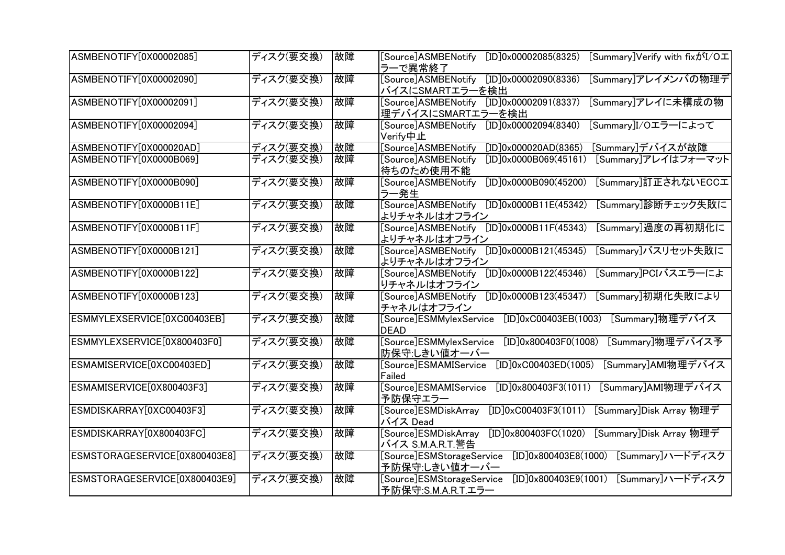| ASMBENOTIFY[0X00002085]       | ディスク(要交換) | 故障 | [Summary]Verify with fixがI/Oエ<br>[Source]ASMBENotify<br>[ID]0x00002085(8325)<br>ラーで異常終了     |
|-------------------------------|-----------|----|---------------------------------------------------------------------------------------------|
| ASMBENOTIFY[0X00002090]       | ディスク(要交換) | 故障 | [ID]0x00002090(8336)<br>[Summary]アレイメンバの物理デ<br>[Source]ASMBENotify<br>バイスにSMARTエラーを検出       |
| ASMBENOTIFY[0X00002091]       | ディスク(要交換) | 故障 | [ID]0x00002091(8337)<br>[Summary]アレイに未構成の物<br>[Source]ASMBENotify<br>理デバイスにSMARTエラーを検出      |
| ASMBENOTIFY[0X00002094]       | ディスク(要交換) | 故障 | [ID]0x00002094(8340)<br>[Summary]I/Oエラーによって<br>[Source]ASMBENotify<br>Verify中止              |
| ASMBENOTIFY[0X000020AD]       | ディスク(要交換) | 故障 | [Source]ASMBENotify<br>[ID]0x000020AD(8365)<br>[Summary]デバイスが故障                             |
| ASMBENOTIFY[0X0000B069]       | ディスク(要交換) | 故障 | [ID]0x0000B069(45161)<br>[Source]ASMBENotify<br>[Summary]アレイはフォーマット<br>待ちのため使用不能            |
| ASMBENOTIFY[0X0000B090]       | ディスク(要交換) | 故障 | [ID]0x0000B090(45200)<br>[Summary]訂正されないECCエ<br>[Source]ASMBENotify<br>ラー発生                 |
| ASMBENOTIFY[0X0000B11E]       | ディスク(要交換) | 故障 | [ID]0x0000B11E(45342)<br>[Summary]診断チェック失敗に<br>[Source]ASMBENotify<br>よりチャネルはオフライン          |
| ASMBENOTIFY[0X0000B11F]       | ディスク(要交換) | 故障 | [ID]0x0000B11F(45343)<br>[Summary]過度の再初期化に<br>[Source]ASMBENotify<br>よりチャネルはオフライン           |
| ASMBENOTIFY[0X0000B121]       | ディスク(要交換) | 故障 | [ID]0x0000B121(45345)<br>[Summary]バスリセット失敗に<br>[Source]ASMBENotify<br>よりチャネルはオフライン          |
| ASMBENOTIFY[0X0000B122]       | ディスク(要交換) | 故障 | [Summary]PCIバスエラーによ<br>[ID]0x0000B122(45346)<br>[Source]ASMBENotify<br>りチャネルはオフライン          |
| ASMBENOTIFY[0X0000B123]       | ディスク(要交換) | 故障 | [ID]0x0000B123(45347)<br>[Summary]初期化失敗により<br>[Source]ASMBENotify<br>チャネルはオフライン             |
| ESMMYLEXSERVICE[0XC00403EB]   | ディスク(要交換) | 故障 | $[ID]0 \times CO0403EB(1003)$<br>[Summary]物理デバイス<br>[Source]ESMMylexService<br><b>DEAD</b>  |
| ESMMYLEXSERVICE[0X800403F0]   | ディスク(要交換) | 故障 | [Source]ESMMylexService<br>[Summary]物理デバイス予<br>[ID]0x800403F0(1008)<br>防保守:しきい値オーバー         |
| ESMAMISERVICE[0XC00403ED]     | ディスク(要交換) | 故障 | [ID]0xC00403ED(1005)<br>[Summary]AMI物理デバイス<br>[Source]ESMAMIService<br>Failed               |
| ESMAMISERVICE[0X800403F3]     | ディスク(要交換) | 故障 | [Source]ESMAMIService<br>[Summary]AMI物理デバイス<br>[ID]0x800403F3(1011)<br>予防保守エラー              |
| ESMDISKARRAY[0XC00403F3]      | ディスク(要交換) | 故障 | [ID]0xC00403F3(1011) [Summary]Disk Array 物理デ<br>[Source]ESMDiskArray<br>バイス Dead            |
| ESMDISKARRAY[0X800403FC]      | ディスク(要交換) | 故障 | [ID]0x800403FC(1020)<br>[Source]ESMDiskArray<br>[Summary]Disk Array 物理デ<br>バイス S.M.A.R.T.警告 |
| ESMSTORAGESERVICE[0X800403E8] | ディスク(要交換) | 故障 | [ID]0x800403E8(1000)<br>[Summary]ハードディスク<br>[Source]ESMStorageService<br>予防保守:しきい値オーバー      |
| ESMSTORAGESERVICE[0X800403E9] | ディスク(要交換) | 故障 | [Summary]ハードディスク<br>[ID]0x800403E9(1001)<br>[Source]ESMStorageService<br>予防保守:S.M.A.R.T.エラー |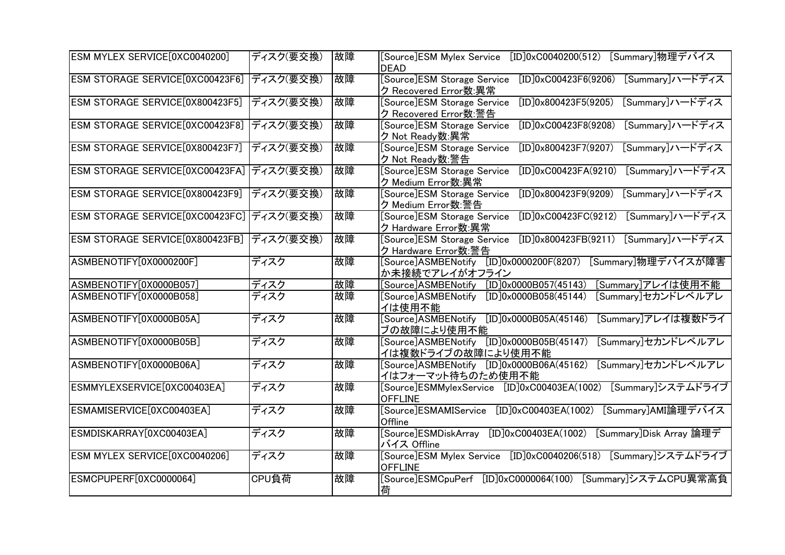| ESM MYLEX SERVICE[0XC0040200]             | ディスク(要交換) | 故障 | [Summary]物理デバイス<br>$[ID]0 \times CO040200(512)$<br>[Source]ESM Mylex Service<br><b>DEAD</b>              |
|-------------------------------------------|-----------|----|----------------------------------------------------------------------------------------------------------|
| ESM STORAGE SERVICE[0XC00423F6]           | ディスク(要交換) | 故障 | [Source]ESM Storage Service<br>$[ID]0 \times CO0423F6(9206)$<br>[Summary]ハードディス<br>ク Recovered Error数:異常 |
| ESM STORAGE SERVICE[0X800423F5]           | ディスク(要交換) | 故障 | [Summary]ハードディス<br>[ID]0x800423F5(9205)<br>[Source]ESM Storage Service<br>ク Recovered Error数:警告          |
| ESM STORAGE SERVICE[0XC00423F8]           | ディスク(要交換) | 故障 | $[ID]0 \times CO0423F8(9208)$<br>[Summary]ハードディス<br>[Source]ESM Storage Service<br>ク Not Ready数:異常       |
| ESM STORAGE SERVICE[0X800423F7]           | ディスク(要交換) | 故障 | [Summary]ハードディス<br>[ID]0x800423F7(9207)<br>[Source]ESM Storage Service<br>ク Not Ready数:警告                |
| ESM STORAGE SERVICE[0XC00423FA]           | ディスク(要交換) | 故障 | $[ID]0 \times CO0423FA(9210)$<br>[Summary]ハードディス<br>[Source]ESM Storage Service<br>ク Medium Error数:異常    |
| ESM STORAGE SERVICE[0X800423F9]           | ディスク(要交換) | 故障 | [Summary]ハードディス<br>[Source]ESM Storage Service<br>[ID]0x800423F9(9209)<br>ク Medium Error数:警告             |
| ESM STORAGE SERVICE[0XC00423FC] ディスク(要交換) |           | 故障 | [Summary]ハードディス<br>$[ID]0 \times CO0423FC(9212)$<br>[Source]ESM Storage Service<br>ク Hardware Error数:異常  |
| ESM STORAGE SERVICE[0X800423FB] ディスク(要交換) |           | 故障 | [ID]0x800423FB(9211)<br>[Summary]ハードディス<br>[Source]ESM Storage Service<br>ク Hardware Error数:警告           |
| ASMBENOTIFY[0X0000200F]                   | ディスク      | 故障 | [ID]0x0000200F(8207)<br>[Summary]物理デバイスが障害<br>[Source]ASMBENotify<br>か未接続でアレイがオフライン                      |
| ASMBENOTIFY[0X0000B057]                   | ディスク      | 故障 | [ID]0x0000B057(45143)<br>[Source]ASMBENotify<br>[Summary]アレイは使用不能                                        |
| ASMBENOTIFY[0X0000B058]                   | ディスク      | 故障 | [Summary]セカンドレベルアレ<br>[ID]0x0000B058(45144)<br>[Source]ASMBENotify<br>イは使用不能                             |
| ASMBENOTIFY[0X0000B05A]                   | ディスク      | 故障 | [ID]0x0000B05A(45146)<br>[Summary]アレイは複数ドライ<br>[Source]ASMBENotify<br>ブの故障により使用不能                        |
| ASMBENOTIFY[0X0000B05B]                   | ディスク      | 故障 | [Source]ASMBENotify [ID]0x0000B05B(45147)<br>[Summary]セカンドレベルアレ<br>イは複数ドライブの故障により使用不能                    |
| ASMBENOTIFY[0X0000B06A]                   | ディスク      | 故障 | [Summary]セカンドレベルアレ<br>[Source]ASMBENotify [ID]0x0000B06A(45162)<br>イはフォーマット待ちのため使用不能                     |
| ESMMYLEXSERVICE[0XC00403EA]               | ディスク      | 故障 | $[ID]0 \times CO0403EA(1002)$<br>[Summary]システムドライブ<br>[Source]ESMMylexService<br><b>OFFLINE</b>          |
| ESMAMISERVICE[0XC00403EA]                 | ディスク      | 故障 | [Source]ESMAMIService<br>[Summary]AMI論理デバイス<br>$[ID]0 \times CO0403EA(1002)$<br>Offline                  |
| ESMDISKARRAY[0XC00403EA]                  | ディスク      | 故障 | Source]ESMDiskArray<br>$[ID]0 \times CO0403EA(1002)$<br>[Summary]Disk Array 論理デ<br>バイス Offline           |
| ESM MYLEX SERVICE[0XC0040206]             | ディスク      | 故障 | [Source]ESM Mylex Service [ID]0xC0040206(518) [Summary]システムドライブ<br><b>OFFLINE</b>                        |
| ESMCPUPERF[0XC0000064]                    | CPU負荷     | 故障 | [Source]ESMCpuPerf<br>$[ID]0 \times C0000064(100)$<br>[Summary]システムCPU異常高負<br>荷                          |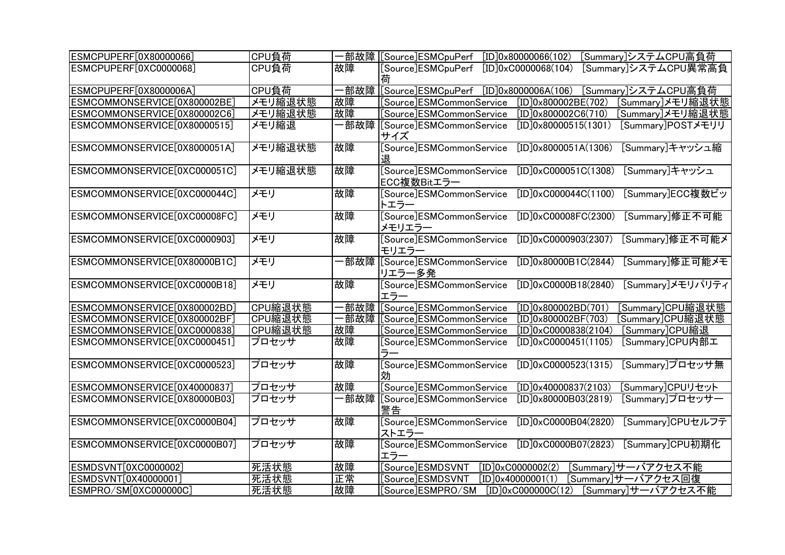| ESMCPUPERF[0X80000066]       | CPU負荷   |      | [Summary]システムCPU高負荷                                                                        |
|------------------------------|---------|------|--------------------------------------------------------------------------------------------|
| ESMCPUPERF[0XC0000068]       | CPU負荷   | 故障   | [Source]ESMCpuPerf<br>$[ID]0 \times CO 000068(104)$<br>[Summary]システムCPU異常高負<br>荷           |
| ESMCPUPERF[0X8000006A]       | CPU負荷   | -部故障 | [Source]ESMCpuPerf [ID]0x8000006A(106)<br>[Summary]システムCPU高負荷                              |
| ESMCOMMONSERVICE[0X800002BE] | メモリ縮退状態 | 故障   | [ID]0x800002BE(702)<br>[Source]ESMCommonService<br>[Summary]メモリ縮退状態                        |
| ESMCOMMONSERVICE[0X800002C6] | メモリ縮退状態 | 故障   | [Summary]メモリ縮退状態<br>[Source]ESMCommonService<br>[ID]0x800002C6(710)                        |
| ESMCOMMONSERVICE[0X80000515] | メモリ縮退   | 部故障  | [ID]0x80000515(1301)<br>[Summary]POSTメモリリ<br>[Source]ESMCommonService<br>サイズ               |
| ESMCOMMONSERVICE[0X8000051A] | メモリ縮退状態 | 故障   | Source <sup></sup> ESMCommon Service<br>[ID]0x8000051A(1306)<br>[Summary]キャッシュ縮<br>退       |
| ESMCOMMONSERVICE[0XC000051C] | メモリ縮退状態 | 故障   | [Source]ESMCommonService<br>$[ID]0 \times CO00051C(1308)$<br>[Summary]キャッシュ<br>ECC複数Bitエラー |
| ESMCOMMONSERVICE[0XC000044C] | メモリ     | 故障   | [Source]ESMCommonService<br>$[ID]0 \times CO00044C(1100)$<br>[Summary]ECC複数ビッ<br>トエラー      |
| ESMCOMMONSERVICE[0XC00008FC] | メモリ     | 故障   | [Source]ESMCommonService<br>[Summary]修正不可能<br>$[ID]0 \times CO0008FC(2300)$<br>メモリエラー      |
| ESMCOMMONSERVICE[0XC0000903] | メモリ     | 故障   | [Source]ESMCommonService<br>[Summary]修正不可能メ<br>$[ID]0 \times CO000903(2307)$<br>モリエラー      |
| ESMCOMMONSERVICE[0X80000B1C] | メモリ     |      | [Summary]修正可能メモ<br>[ID]0x80000B1C(2844)<br>リエラー多発                                          |
| ESMCOMMONSERVICE[0XC0000B18] | メモリ     | 故障   | [Source]ESMCommonService<br>[Summary]メモリパリティ<br>$[ID]0 \times CO000B18(2840)$<br>エラー       |
| ESMCOMMONSERVICE[0X800002BD] | CPU縮退状態 |      | ·部故障 [Source]ESMCommonService<br>[ID]0x800002BD(701)<br>[Summary]CPU縮退状態                   |
| ESMCOMMONSERVICE[0X800002BF] | CPU縮退状態 | ·部故障 | [Source]ESMCommonService<br>[ID]0x800002BF(703)<br>Summary]CPU縮退状態                         |
| ESMCOMMONSERVICE[0XC0000838] | CPU縮退状態 | 故障   | Source]ESMCommonService<br>$[ID]0 \times CO 000838(2104)$<br>[Summary]CPU縮退                |
| ESMCOMMONSERVICE[0XC0000451] | プロセッサ   | 故障   | [Source]ESMCommonService<br>[Summary]CPU内部工<br>$[ID]0 \times CO000451(1105)$<br>ラー         |
| ESMCOMMONSERVICE[0XC0000523] | プロセッサ   | 故障   | [Source]ESMCommonService<br>$[D]0 \times CO 000523(1315)$<br>[Summary]プロセッサ無<br>効          |
| ESMCOMMONSERVICE[0X40000837] | プロセッサ   | 故障   | [Source]ESMCommonService<br>[ID]0x40000837(2103)<br>[Summary]CPUリセット                       |
| ESMCOMMONSERVICE[0X80000B03] | プロセッサ   | 部故障  | [Source]ESMCommonService<br>[Summary]プロセッサー<br>[ID]0x80000B03(2819)<br>警告                  |
| ESMCOMMONSERVICE[0XC0000B04] | プロセッサ   | 故障   | [Source]ESMCommonService<br>[ID]0xC0000B04(2820)<br>[Summary]CPUセルフテ<br>ストエラー              |
| ESMCOMMONSERVICE[0XC0000B07] | プロセッサ   | 故障   | [Source]ESMCommonService<br>$[ID]0 \times CO000B07(2823)$<br>[Summary]CPU初期化<br>エラー        |
| ESMDSVNT[0XC0000002]         | 死活状態    | 故障   | [Source]ESMDSVNT<br>[Summary]サーバアクセス不能<br>$[ID]0 \times C00000002(2)$                      |
| ESMDSVNT[0X40000001]         | 死活状態    | 住生   | [ID]0x40000001(1)<br>Source]ESMDSVNT<br>[Summary]サーバアクセス回復                                 |
| ESMPRO/SM[0XC000000C]        | 死活状態    | 故障   | $[ID]0 \times CO000000C(12)$<br>Source]ESMPRO/SM<br>[Summary]サーバアクセス不能                     |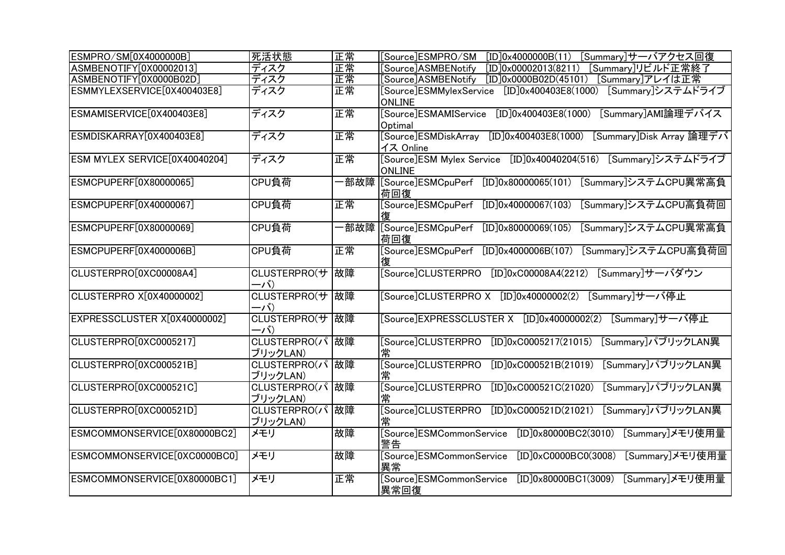| ESMPRO/SM[0X4000000B]                    | 死活状態                        | 正常  | [Source]ESMPRO/SM<br>[Summary]サーバアクセス回復<br>[ID]0x4000000B(11)                         |
|------------------------------------------|-----------------------------|-----|---------------------------------------------------------------------------------------|
| ASMBENOTIFY[0X00002013]                  | ディスク                        | 正常  | [Source]ASMBENotify<br>[ID]0x00002013(8211)<br>[Summary]リビルド正常終了                      |
| ASMBENOTIFY[0X0000B02D]                  | ディスク                        | 正常  | [Source]ASMBENotify<br>[ID]0x0000B02D(45101)<br>[Summary]アレイは正常                       |
| ESMMYLEXSERVICE[0X400403E8]              | ディスク                        | 正常  | [Summary]システムドライブ<br>[Source]ESMMylexService<br>[ID]0x400403E8(1000)<br><b>ONLINE</b> |
| ESMAMISERVICE[0X400403E8]                | ディスク                        | 正常  | [Source]ESMAMIService [ID]0x400403E8(1000)<br>[Summary]AMI論理デバイス<br>Optimal           |
| ESMDISKARRAY[0X400403E8]                 | ディスク                        | 正常  | [ID]0x400403E8(1000)<br>[Summary]Disk Array 論理デバ<br>[Source]ESMDiskArray<br>イス Online |
| ESM MYLEX SERVICE[0X40040204]            | ディスク                        | 正常  | [Source]ESM Mylex Service [ID]0x40040204(516) [Summary]システムドライブ<br><b>ONLINE</b>      |
| ESMCPUPERF[0X80000065]                   | CPU負荷                       | 部故障 | [ID]0x80000065(101)<br>[Summary]システムCPU異常高負<br>[Source]ESMCpuPerf<br>荷回復              |
| ESMCPUPERF[0X40000067]                   | CPU負荷                       | 圧常  | [Source]ESMCpuPerf<br>[ID]0x40000067(103)<br>[Summary]システムCPU高負荷回<br>復                |
| ESMCPUPERF[0X80000069]                   | CPU負荷                       |     | [ID]0x80000069(105)<br>[Summary]システムCPU異常高負<br>荷回復                                    |
| ESMCPUPERF[0X4000006B]                   | CPU負荷                       | 正常  | [ID]0x4000006B(107)<br>[Summary]システムCPU高負荷回<br>[Source]ESMCpuPerf<br>復                |
| CLUSTERPRO[0XC00008A4]                   | CLUSTERPRO(サ<br>ーバ)         | 故障  | [Summary]サーバダウン<br>[Source]CLUSTERPRO<br>$[ID]0 \times CO0008A4(2212)$                |
| <b>CLUSTERPRO X[0X40000002]</b>          | CLUSTERPRO(サ<br>ーバ)         | 故障  | [Source]CLUSTERPRO X [ID]0x40000002(2) [Summary]サーバ停止                                 |
| EXPRESSCLUSTER X <sup>[0X40000002]</sup> | CLUSTERPRO(サ<br>ーバ)         | 故障  | [Source]EXPRESSCLUSTER X [ID]0x40000002(2) [Summary]サーバ停止                             |
| CLUSTERPRO[0XC0005217]                   | CLUSTERPRO(パ<br>ブリックLAN)    | 故障  | [Summary]パブリックLAN異<br>[Source]CLUSTERPRO<br>$[ID]0 \times CO 005217(21015)$<br>常      |
| CLUSTERPRO[0XC000521B]                   | CLUSTERPRO(パ 故障<br>ブリックLAN) |     | [Source]CLUSTERPRO<br>[Summary]パブリックLAN異<br>$[ID]0 \times CO00521B(21019)$<br>常       |
| CLUSTERPRO[0XC000521C]                   | CLUSTERPRO(パ<br>ブリックLAN)    | 故障  | [Source]CLUSTERPRO<br>$[ID]0 \times CO00521C(21020)$<br>[Summary]パブリックLAN異<br>常       |
| CLUSTERPRO[0XC000521D]                   | CLUSTERPRO(パ<br>ブリックLAN)    | 故障  | [Summary]パブリックLAN異<br>[Source]CLUSTERPRO<br>$[ID]0 \times CO00521D(21021)$<br>常       |
| ESMCOMMONSERVICE[0X80000BC2]             | メモリ                         | 故障  | [Source]ESMCommonService<br>[ID]0x80000BC2(3010)<br>[Summary]メモリ使用量<br>警告             |
| ESMCOMMONSERVICE[0XC0000BC0]             | メモリ                         | 故障  | [Source]ESMCommonService<br>$[ID]0 \times CO000BC0(3008)$<br>[Summary]メモリ使用量<br>異常    |
| ESMCOMMONSERVICE[0X80000BC1]             | メモリ                         | 正常  | [Source]ESMCommonService<br>[ID]0x80000BC1(3009)<br>[Summary]メモリ使用量<br>異常回復           |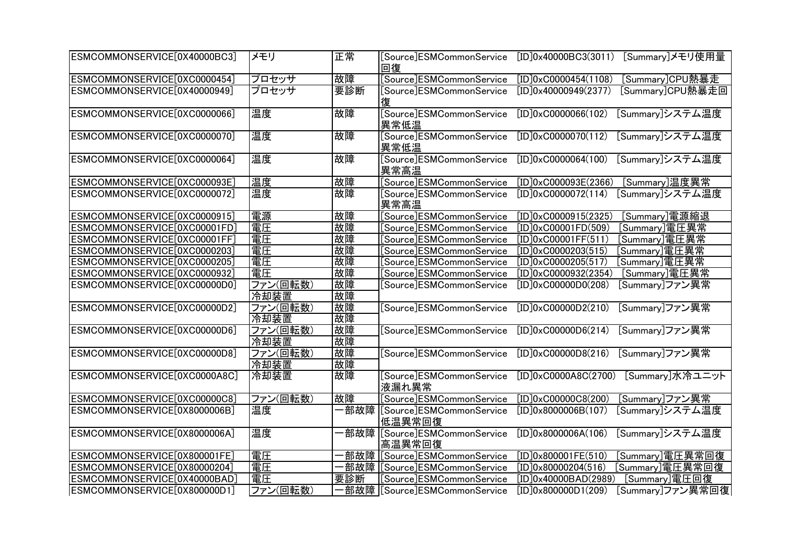| ESMCOMMONSERVICE[0X40000BC3] | メモリ      | 正常  | [Source]ESMCommonService<br>回復           | [Summary]メモリ使用量<br>[ID]0x40000BC3(3011)          |
|------------------------------|----------|-----|------------------------------------------|--------------------------------------------------|
| ESMCOMMONSERVICE[0XC0000454] | プロセッサ    | 故障  | [Source]ESMCommonService                 | $\boxed{ID}$ 0xC0000454(1108)<br>[Summary]CPU熱暴走 |
| ESMCOMMONSERVICE[0X40000949] | プロセッサ    | 要診断 | [Source]ESMCommonService<br>復            | [ID]0x40000949(2377)<br>[Summary]CPU熱暴走回         |
| ESMCOMMONSERVICE[0XC0000066] | 温度       | 故障  | [Source]ESMCommonService<br>異常低温         | [Summary]システム温度<br>$[ID]0 \times C0000066(102)$  |
| ESMCOMMONSERVICE[0XC0000070] | 温度       | 故障  | [Source]ESMCommonService<br>異常低温         | $[ID]0 \times C00000070(112)$<br>[Summary]システム温度 |
| ESMCOMMONSERVICE[0XC0000064] | 温度       | 故障  | [Source]ESMCommonService<br>異常高温         | [Summary]システム温度<br>$[ID]0 \times CO000064(100)$  |
| ESMCOMMONSERVICE[0XC000093E] | 温度       | 故障  | [Source]ESMCommonService                 | [Summary]温度異常<br>$[ID]0 \times CO00093E(2366)$   |
| ESMCOMMONSERVICE[0XC0000072] | 温度       | 故障  | [Source]ESMCommonService<br>異常高温         | $[ID]0 \times CO000072(114)$<br>[Summarv]システム温度  |
| ESMCOMMONSERVICE[0XC0000915] | 電源       | 故障  | [Source]ESMCommonService                 | $[ID]0 \times C0000915(2325)$<br>[Summary]電源縮退   |
| ESMCOMMONSERVICE[0XC00001FD] | 電圧       | 故障  | [Source]ESMCommonService                 | [Summary]電圧異常<br>$[ID]0 \times CO0001FD(509)$    |
| ESMCOMMONSERVICE[0XC00001FF] | 電圧       | 故障  | [Source]ESMCommonService                 | [Summary]電圧異常<br>[ID]0xC00001FF(511)             |
| ESMCOMMONSERVICE[0XC0000203] | 電圧       | 故障  | [Source]ESMCommonService                 | [Summary]電圧異常<br>$[ID]0 \times CO 000203(515)$   |
| ESMCOMMONSERVICE[0XC0000205] | 電圧       | 故障  | [Source]ESMCommonService                 | [Summary]電圧異常<br>$[ID]0 \times CO000205(517)$    |
| ESMCOMMONSERVICE[0XC0000932] | 電圧       | 故障  | [Source]ESMCommonService                 | [Summary]電圧異常<br>$[ID]0 \times C0000932(2354)$   |
| ESMCOMMONSERVICE[0XC00000D0] | ファン(回転数) | 故障  | [Source]ESMCommonService                 | $[ID]0 \times CO00000D0(208)$<br>[Summary]ファン異常  |
|                              | 冷却装置     | 故障  |                                          |                                                  |
| ESMCOMMONSERVICE[0XC00000D2] | ファン(回転数) | 故障  | [Source]ESMCommonService                 | [Summary]ファン異常<br>[ID]0xC00000D2(210)            |
|                              | 冷却装置     | 故障  |                                          |                                                  |
| ESMCOMMONSERVICE[0XC00000D6] | ファン(回転数) | 故障  | [Source]ESMCommonService                 | $[ID]0 \times CO0000006(214)$<br>[Summary]ファン異常  |
|                              | 冷却装置     | 故障  |                                          |                                                  |
| ESMCOMMONSERVICE[0XC00000D8] | ファン(回転数) | 故障  | [Source]ESMCommonService                 | $[ID]0 \times CO0000D8(216)$<br>[Summary]ファン異常   |
|                              | 冷却装置     | 故障  |                                          |                                                  |
| ESMCOMMONSERVICE[0XC0000A8C] | 冷却装置     | 故障  | [Source]ESMCommonService<br>液漏れ異常        | [Summary]水冷ユニット<br>$[ID]0 \times CO000A8C(2700)$ |
| ESMCOMMONSERVICE[0XC00000C8] | ファン(回転数) | 故障  | [Source]ESMCommonService                 | $[ID]0 \times CO00000C8(200)$<br>[Summary]ファン異常  |
| ESMCOMMONSERVICE[0X8000006B] | 温度       |     | ·部故障  [Source]ESMCommonService<br>低温異常回復 | [ID]0x8000006B(107)<br>[Summary]システム温度           |
| ESMCOMMONSERVICE[0X8000006A] | 温度       |     |                                          | [ID]0x8000006A(106)<br>[Summary]システム温度           |
|                              |          |     | 高温異常回復                                   |                                                  |
| ESMCOMMONSERVICE[0X800001FE] | 電圧       | 部故障 | [Source]ESMCommonService                 | [ID]0x800001FE(510)<br>[Summary]電圧異常回復           |
| ESMCOMMONSERVICE[0X80000204] | 電圧       | 部故障 | [Source]ESMCommonService                 | [ID]0x80000204(516)<br>[Summary]電圧異常回復           |
| ESMCOMMONSERVICE[0X40000BAD] | 電圧       | 要診断 | [Source]ESMCommonService                 | [ID]0x40000BAD(2989)<br>[Summary]電圧回復            |
| ESMCOMMONSERVICE[0X800000D1] | ファン(回転数) |     |                                          | [ID]0x800000D1(209)<br>[Summary]ファン異常回復          |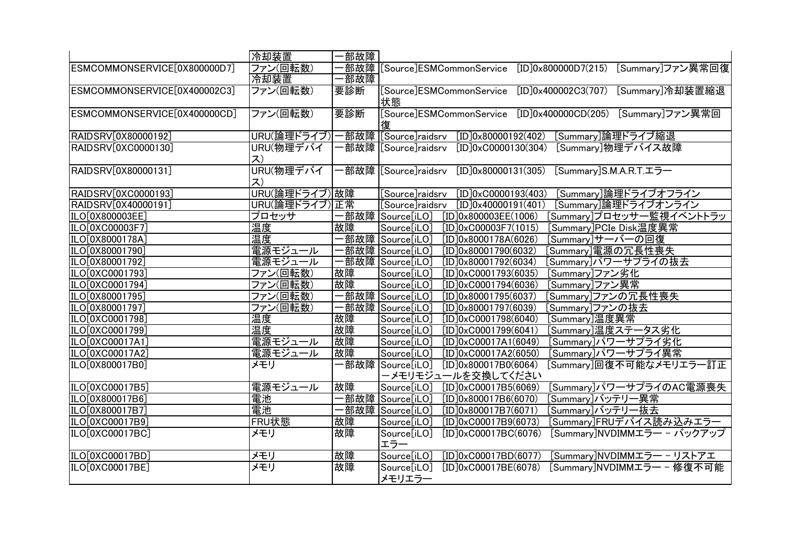|                              | 冷却装置                              | 部故障 |                                                                             |
|------------------------------|-----------------------------------|-----|-----------------------------------------------------------------------------|
| ESMCOMMONSERVICE[0X800000D7] | ファン(回転数)                          |     | 部故障 [Source]ESMCommonService<br>[ID]0x800000D7(215)<br>[Summary]ファン異常回復     |
|                              | 冷却装置                              | 部故障 |                                                                             |
| ESMCOMMONSERVICE[0X400002C3] | ファン(回転数)                          | 要診断 | [Summary]冷却装置縮退<br>[Source]ESMCommonService<br>[ID]0x400002C3(707)          |
|                              |                                   |     | 状態                                                                          |
| ESMCOMMONSERVICE[0X400000CD] | ファン(回転数)                          | 要診断 | [Source]ESMCommonService [ID]0x400000CD(205) [Summary]ファン異常回                |
|                              |                                   |     | 復                                                                           |
| RAIDSRV[0X80000192]          | URU(論理ドライブ) 一部故障  [Source]raidsrv |     | [ID]0x80000192(402)<br>[Summary]論理ドライブ縮退                                    |
| RAIDSRV[0XC0000130]          | URU(物理デバイ                         |     | ·部故障  [Source]raidsrv<br>$[ID]0 \times C0000130(304)$<br>[Summary]物理デバイス故障  |
|                              | ス)                                |     |                                                                             |
| RAIDSRV[0X80000131]          | URU(物理デバイ                         |     | [Summary]S.M.A.R.T.エラー<br>[ID]0x80000131(305)                               |
|                              | ス)                                |     |                                                                             |
| RAIDSRV[0XC0000193]          | URU(論理ドライブ) 故障                    |     | [Source]raidsrv<br>$[ID]0 \times C0000193(403)$<br>[Summary]論理ドライブオフライン     |
| RAIDSRV[0X40000191]          | URU(論理ドライブ)圧常                     |     | [Summary]論理ドライブオンライン<br>[Source]raidsrv<br>[ID]0x40000191(401)              |
| ILO[0X800003EE]              | プロセッサ                             |     | ·部故障 Source[iLO]<br>[Summary]プロセッサー監視イベントトラッ<br>[ID]0x800003EE(1006)        |
| ILO[0XC00003F7]              | 温度                                | 故障  | Source[iLO]<br>$[ID]0 \times CO0003F7(1015)$<br>[Summary]PCIe Disk温度異常      |
| ILO[0X8000178A]              | 温度                                |     | ·部故障 Source[iLO]<br>[Summary]サーバーの回復<br>[ID]0x8000178A(6026)                |
| ILO[0X80001790]              | 電源モジュール                           |     | ·部故障  Source[iLO]<br>[ID]0x80001790(6032)<br>[Summary]電源の冗長性喪失              |
| ILO[0X80001792]              | 電源モジュール                           |     | 部故障 Source[iLO]<br>[ID]0x80001792(6034)<br>[Summary]パワーサプライの抜去              |
| ILO[0XC0001793]              | ファン(回転数)                          | 故障  | Source[iLO]<br>$[ID]0 \times CO001793(6035)$<br>[Summary]ファン劣化              |
| ILO[0XC0001794]              | ファン(回転数)                          | 故障  | Source[iLO]<br>$[ID]0 \times CO 001794(6036)$<br>[Summary]ファン異常             |
| ILO[0X80001795]              | ファン(回転数)                          |     | -部故障 Source[iLO]<br>[ID]0x80001795(6037)<br>[Summary]ファンの冗長性喪失              |
| ILO[0X80001797]              | ファン(回転数)                          |     | 部故障 Source[iLO]<br>[ID]0x80001797(6039)<br>[Summary]ファンの抜去                  |
| ILO[0XC0001798]              | 温度                                | 故障  | [Summary]温度異常<br>$[ID]0 \times CO001798(6040)$<br>Source[iLO]               |
| ILO[0XC0001799]              | 温度                                | 故障  | [Summary]温度ステータス劣化<br>Source[iLO]<br>$[ID]0 \times CO001799(6041)$          |
| ILO[0XC00017A1]              | 電源モジュール                           | 故障  | Source[iLO]<br>[ID]0xC00017A1(6049)<br>[Summary]パワーサプライ劣化                   |
| ILO[0XC00017A2]              | 電源モジュール                           | 故障  | [ID]0xC00017A2(6050)<br>[Summary]パワーサプライ異常<br>Source[iLO]                   |
| ILO[0X800017B0]              | メモリ                               |     | ·部故障 Source[iLO]<br>[ID]0x800017B0(6064)<br>[Summary]回復不可能なメモリエラー訂正         |
|                              |                                   |     | ーメモリモジュールを交換してください                                                          |
| ILO[0XC00017B5]              | 電源モジュール                           | 故障  | [Summary]パワーサプライのAC電源喪失<br>Source[iLO]<br>$[ID]0 \times CO0017B5(6069)$     |
| ILO[0X800017B6]              | 電池                                |     | ·部故障 Source[iLO]<br>[ID]0x800017B6(6070)<br>[Summary]バッテリ一異常                |
| ILO[0X800017B7]              | 電池                                |     | 部故障 Source[iLO]<br>[ID]0x800017B7(6071)<br>[Summary]バッテリー抜去                 |
| ILO[0XC00017B9]              | FRU状態                             | 故障  | [Summary]FRUデバイス読み込みエラー<br>Source[iLO]<br>$[ID]0 \times CO0017B9(6073)$     |
| ILO[0XC00017BC]              | メモリ                               | 故障  | Source[iLO]<br>[Summary]NVDIMMエラー - バックアップ<br>$[ID]0 \times CO0017BC(6076)$ |
|                              |                                   |     | エラー                                                                         |
| ILO[0XC00017BD]              | メモリ                               | 故障  | Source[iLO]<br>$[ID]0 \times CO0017BD(6077)$<br>[Summary]NVDIMMエラー - リストアエ  |
| ILO[0XC00017BE]              | メモリ                               | 故障  | Source[iLO]<br>$[ID]0 \times CO0017BE(6078)$<br>[Summary]NVDIMMエラー - 修復不可能  |
|                              |                                   |     | メモリエラー                                                                      |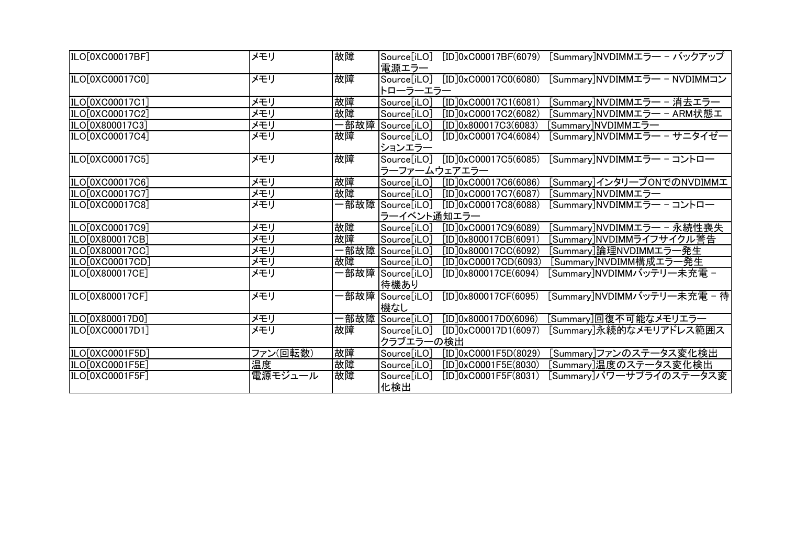| ILO[0XC00017BF]              | メモリ      | 故障 | $[ID]0 \times CO0017BF(6079)$<br>[Summary]NVDIMMエラー - バックアップ<br>Source[iLO]<br>電源エラー            |
|------------------------------|----------|----|-------------------------------------------------------------------------------------------------|
| ILO[0XC00017C0]              | メモリ      | 故障 | Source[iLO] [ID]0xC00017C0(6080)<br>[Summary]NVDIMMエラー - NVDIMMコン<br>トローラーエラー                   |
| ILO[0XC00017C1]              | メモリ      | 故障 | $[ID]0 \times CO0017C1(6081)$<br>[Summary]NVDIMMエラー - 消去エラー<br>Source[iLO]                      |
| ILO[0XC00017C2]              | メモリ      | 故障 | $[ID]0 \times CO0017C2(6082)$<br>[Summary]NVDIMMエラー ― ARM状態工<br>Source[iLO]                     |
| ILO[0X800017C3]              | メモリ      |    | ·部故障  Source[iLO]<br>[ID]0x800017C3(6083)<br>Summary]NVDIMMエラー                                  |
| ILO[0XC00017C4]              | メモリ      | 故障 | [Summary]NVDIMMエラー - サニタイゼー<br>$[ID]0 \times CO0017C4(6084)$<br>Source[iLO]<br>ションエラー           |
| ILO[0XC00017C5]              | メモリ      | 故障 | $[ID]0 \times CO0017C5(6085)$<br>[Summary]NVDIMMエラー - コントロー<br>Source[iLO]<br>ラーファームウェアエラー      |
| ILO[0XC00017C6]              | メモリ      | 故障 | $[ID]0 \times CO0017C6(6086)$<br>[Summary]インタリーブONでのNVDIMMエ<br>Source[iLO]                      |
| ILO[0XC00017C7]              | メモリ      | 故障 | $[ID]0 \times CO0017C7(6087)$<br>[Summary]NVDIMMエラー<br>Source[iLO]                              |
| ILO[0XC00017C8]              | メモリ      |    | -部故障  Source[iLO]<br>[Summary]NVDIMMエラー - コントロー<br>$[ID]0 \times CO0017C8(6088)$<br>ラーイベント通知エラー |
| ILO[0XC00017C9]              | メモリ      | 故障 | $[ID]0 \times CO0017C9(6089)$<br>Source[iLO]<br>[Summary]NVDIMMエラー ― 永続性喪失                      |
| ILO[0X800017CB]              | メモリ      | 故障 | [ID]0x800017CB(6091)<br>[Summary]NVDIMMライフサイクル警告<br>Source[iLO]                                 |
| ILO[0X800017CC]              | メモリ      |    | 一部故障  Source[iLO]<br>[Summary]論理NVDIMMエラー発生<br>[ID]0x800017CC(6092)                             |
| ILO[0XC00017CD]              | メモリ      | 故障 | [Summary]NVDIMM構成エラー発生<br>[ID]0xC00017CD(6093)<br>Source[iLO]                                   |
| ILO <sub>[0</sub> X800017CE] | メモリ      |    | 一部故障  Source[iLO]<br>[ID]0x800017CE(6094)<br>[Summary]NVDIMMバッテリー未充電 -<br>待機あり                  |
| ILO[0X800017CF]              | メモリ      |    | 一部故障  Source[iLO]<br>[ID]0x800017CF(6095)<br>[Summary]NVDIMMバッテリー未充電 - 待 <br>機なし                |
| ILO[0X800017D0]              | メモリ      |    | 一部故障  Source[iLO]<br>[ID]0x800017D0(6096)<br>[Summary]回復不可能なメモリエラー                              |
| ILO[0XC00017D1]              | メモリ      | 故障 | [Summary]永続的なメモリアドレス範囲ス<br>Source[iLO]<br>$[ID]0 \times CO0017D1(6097)$<br>クラブエラーの検出            |
| ILO[0XC0001F5D]              | ファン(回転数) | 故障 | Source[iLO]<br>$[ID]0 \times CO001F5D(8029)$<br>[Summary]ファンのステータス変化検出                          |
| ILO[0XC0001F5E]              | 温度       | 故障 | $[ID]0 \times CO001F5E(8030)$<br>[Summary]温度のステータス変化検出<br>Source[iLO]                           |
| ILO[0XC0001F5F]              | 電源モジュール  | 故障 | [Summary]パワーサプライのステータス変<br>$[ID]0 \times CO001F5F(8031)$<br>Source[iLO]<br>化検出                  |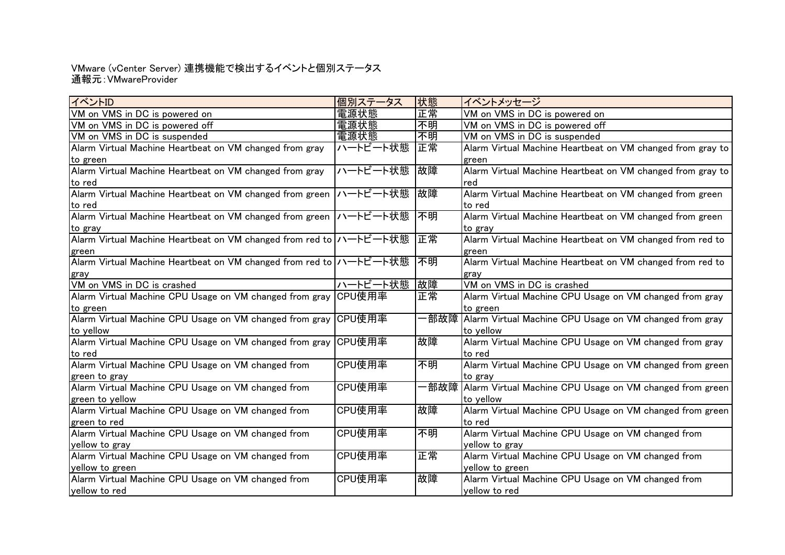### 通報元:VMwareProvider VMware (vCenter Server) 連携機能で検出するイベントと個別ステータス

| イベントID                                                             | 個別ステータス     | 状態   | イベントメッセージ                                                     |
|--------------------------------------------------------------------|-------------|------|---------------------------------------------------------------|
| VM on VMS in DC is powered on                                      | 電源状態        | 正常   | VM on VMS in DC is powered on                                 |
| VM on VMS in DC is powered off                                     | 電源状態        | 不明   | VM on VMS in DC is powered off                                |
| VM on VMS in DC is suspended                                       | 電源状態        | 不明   | VM on VMS in DC is suspended                                  |
| Alarm Virtual Machine Heartbeat on VM changed from gray            | ハートビート状態    | 正常   | Alarm Virtual Machine Heartbeat on VM changed from gray to    |
| to green                                                           |             |      | green                                                         |
| Alarm Virtual Machine Heartbeat on VM changed from gray            | ハートビート状態    | 故障   | Alarm Virtual Machine Heartbeat on VM changed from gray to    |
| to red                                                             |             |      | red                                                           |
| Alarm Virtual Machine Heartbeat on VM changed from green ハートビート状態  |             | 故障   | Alarm Virtual Machine Heartbeat on VM changed from green      |
| to red                                                             |             |      | to red                                                        |
| Alarm Virtual Machine Heartbeat on VM changed from green ハートビート状態  |             | 不明   | Alarm Virtual Machine Heartbeat on VM changed from green      |
| to gray                                                            |             |      | to gray                                                       |
| Alarm Virtual Machine Heartbeat on VM changed from red to ハートビート状態 |             | 正常   | Alarm Virtual Machine Heartbeat on VM changed from red to     |
| green                                                              |             |      | green                                                         |
| Alarm Virtual Machine Heartbeat on VM changed from red to ハートビート状態 |             | 不明   | Alarm Virtual Machine Heartbeat on VM changed from red to     |
| gray                                                               |             |      | grav                                                          |
| VM on VMS in DC is crashed                                         | ハートビート状態 故障 |      | VM on VMS in DC is crashed                                    |
| Alarm Virtual Machine CPU Usage on VM changed from gray CPU使用率     |             | 正常   | Alarm Virtual Machine CPU Usage on VM changed from gray       |
| to green                                                           |             |      | to green                                                      |
| Alarm Virtual Machine CPU Usage on VM changed from gray  CPU使用率    |             |      | -部故障  Alarm Virtual Machine CPU Usage on VM changed from gray |
| to yellow                                                          |             |      | to yellow                                                     |
| Alarm Virtual Machine CPU Usage on VM changed from gray CPU使用率     |             | 故障   | Alarm Virtual Machine CPU Usage on VM changed from gray       |
| to red                                                             |             |      | to red                                                        |
| Alarm Virtual Machine CPU Usage on VM changed from                 | CPU使用率      | 不明   | Alarm Virtual Machine CPU Usage on VM changed from green      |
| green to gray                                                      |             |      | to gray                                                       |
| Alarm Virtual Machine CPU Usage on VM changed from                 | CPU使用率      | ·部故障 | Alarm Virtual Machine CPU Usage on VM changed from green      |
| green to yellow                                                    |             |      | to yellow                                                     |
| Alarm Virtual Machine CPU Usage on VM changed from                 | CPU使用率      | 故障   | Alarm Virtual Machine CPU Usage on VM changed from green      |
| green to red                                                       |             |      | to red                                                        |
| Alarm Virtual Machine CPU Usage on VM changed from                 | CPU使用率      | 不明   | Alarm Virtual Machine CPU Usage on VM changed from            |
| yellow to gray                                                     |             |      | yellow to gray                                                |
| Alarm Virtual Machine CPU Usage on VM changed from                 | CPU使用率      | 正常   | Alarm Virtual Machine CPU Usage on VM changed from            |
| yellow to green                                                    |             |      | yellow to green                                               |
| Alarm Virtual Machine CPU Usage on VM changed from                 | CPU使用率      | 故障   | Alarm Virtual Machine CPU Usage on VM changed from            |
| yellow to red                                                      |             |      | yellow to red                                                 |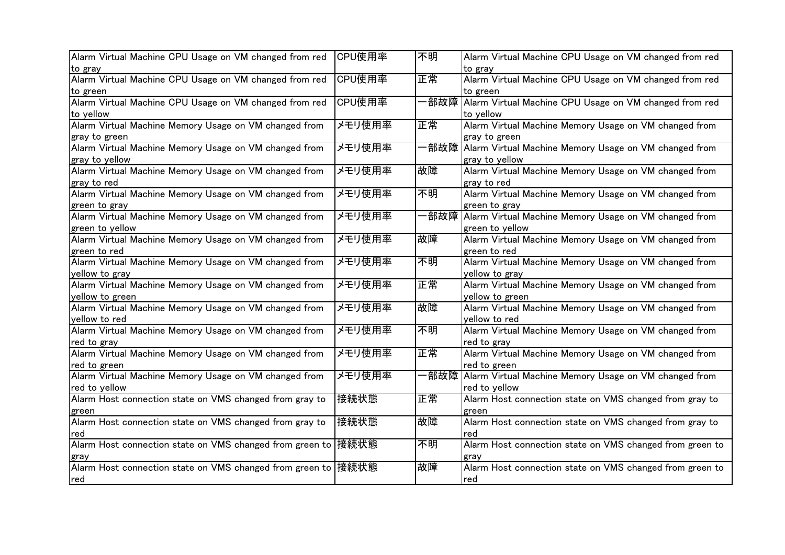| CPU使用率                                                        | 不明                                                                                                    | Alarm Virtual Machine CPU Usage on VM changed from red   |
|---------------------------------------------------------------|-------------------------------------------------------------------------------------------------------|----------------------------------------------------------|
|                                                               |                                                                                                       | to gray                                                  |
|                                                               |                                                                                                       | Alarm Virtual Machine CPU Usage on VM changed from red   |
|                                                               |                                                                                                       | to green                                                 |
|                                                               |                                                                                                       | Alarm Virtual Machine CPU Usage on VM changed from red   |
|                                                               |                                                                                                       | to yellow                                                |
|                                                               |                                                                                                       | Alarm Virtual Machine Memory Usage on VM changed from    |
|                                                               |                                                                                                       | gray to green                                            |
| メモリ使用率                                                        | ·部故障                                                                                                  | Alarm Virtual Machine Memory Usage on VM changed from    |
|                                                               |                                                                                                       | gray to yellow                                           |
| メモリ使用率                                                        | 故障                                                                                                    | Alarm Virtual Machine Memory Usage on VM changed from    |
|                                                               |                                                                                                       | gray to red                                              |
| メモリ使用率                                                        | 不明                                                                                                    | Alarm Virtual Machine Memory Usage on VM changed from    |
|                                                               |                                                                                                       | green to gray                                            |
| メモリ使用率                                                        | -部故障                                                                                                  | Alarm Virtual Machine Memory Usage on VM changed from    |
|                                                               |                                                                                                       | green to yellow                                          |
| メモリ使用率                                                        | 故障                                                                                                    | Alarm Virtual Machine Memory Usage on VM changed from    |
|                                                               |                                                                                                       | green to red                                             |
| メモリ使用率                                                        | 不明                                                                                                    | Alarm Virtual Machine Memory Usage on VM changed from    |
|                                                               |                                                                                                       | yellow to gray                                           |
|                                                               | 正常                                                                                                    | Alarm Virtual Machine Memory Usage on VM changed from    |
|                                                               |                                                                                                       | yellow to green                                          |
| メモリ使用率                                                        | 故障                                                                                                    | Alarm Virtual Machine Memory Usage on VM changed from    |
|                                                               |                                                                                                       | yellow to red                                            |
| メモリ使用率                                                        | 不明                                                                                                    | Alarm Virtual Machine Memory Usage on VM changed from    |
|                                                               |                                                                                                       | red to gray                                              |
| メモリ使用率                                                        | 正常                                                                                                    | Alarm Virtual Machine Memory Usage on VM changed from    |
|                                                               |                                                                                                       | red to green                                             |
| メモリ使用率                                                        | -部故障                                                                                                  | Alarm Virtual Machine Memory Usage on VM changed from    |
|                                                               |                                                                                                       | red to yellow                                            |
| 接続状態                                                          | 正常                                                                                                    | Alarm Host connection state on VMS changed from gray to  |
|                                                               |                                                                                                       | green                                                    |
| 接続状態                                                          | 故障                                                                                                    | Alarm Host connection state on VMS changed from gray to  |
|                                                               |                                                                                                       | red                                                      |
|                                                               | 不明                                                                                                    | Alarm Host connection state on VMS changed from green to |
|                                                               |                                                                                                       | gray                                                     |
| Alarm Host connection state on VMS changed from green to 接続状態 | 故障                                                                                                    | Alarm Host connection state on VMS changed from green to |
|                                                               |                                                                                                       |                                                          |
|                                                               | CPU使用率<br>CPU使用率<br>メモリ使用率<br>メモリ使用率<br>Alarm Host connection state on VMS changed from green to 接続状態 | 正常<br>·部故障<br>正常                                         |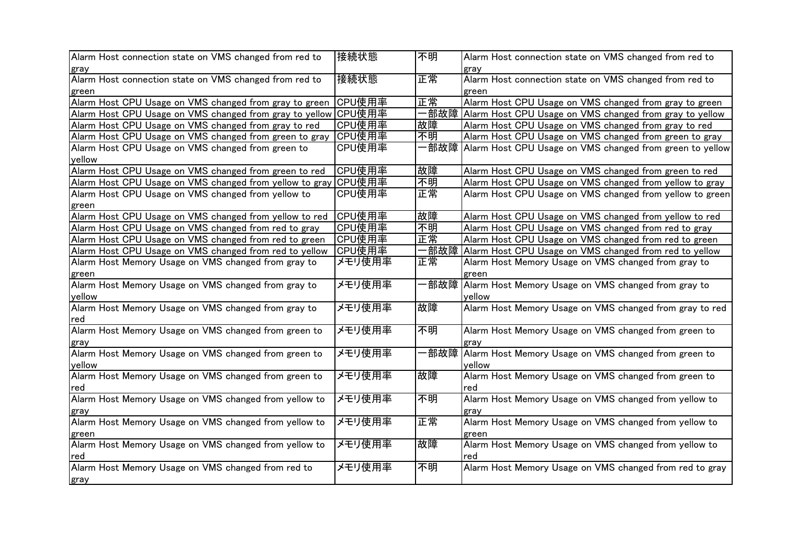| Alarm Host connection state on VMS changed from red to         | 接続状態   | 不明   | Alarm Host connection state on VMS changed from red to      |
|----------------------------------------------------------------|--------|------|-------------------------------------------------------------|
| gray                                                           |        |      | gray                                                        |
| Alarm Host connection state on VMS changed from red to         | 接続状態   | 正常   | Alarm Host connection state on VMS changed from red to      |
| green                                                          |        |      | green                                                       |
| Alarm Host CPU Usage on VMS changed from gray to green         | CPU使用率 | 正常   | Alarm Host CPU Usage on VMS changed from gray to green      |
| Alarm Host CPU Usage on VMS changed from gray to yellow CPU使用率 |        |      | 部故障 Alarm Host CPU Usage on VMS changed from gray to yellow |
| Alarm Host CPU Usage on VMS changed from gray to red           | CPU使用率 | 故障   | Alarm Host CPU Usage on VMS changed from gray to red        |
| Alarm Host CPU Usage on VMS changed from green to gray         | CPU使用率 | 不明   | Alarm Host CPU Usage on VMS changed from green to gray      |
| Alarm Host CPU Usage on VMS changed from green to              | CPU使用率 | ·部故障 | Alarm Host CPU Usage on VMS changed from green to yellow    |
| vellow                                                         |        |      |                                                             |
| Alarm Host CPU Usage on VMS changed from green to red          | CPU使用率 | 故障   | Alarm Host CPU Usage on VMS changed from green to red       |
| Alarm Host CPU Usage on VMS changed from yellow to gray        | CPU使用率 | 不明   | Alarm Host CPU Usage on VMS changed from yellow to gray     |
| Alarm Host CPU Usage on VMS changed from yellow to             | CPU使用率 | 正常   | Alarm Host CPU Usage on VMS changed from yellow to green    |
| green                                                          |        |      |                                                             |
| Alarm Host CPU Usage on VMS changed from yellow to red         | CPU使用率 | 故障   | Alarm Host CPU Usage on VMS changed from yellow to red      |
| Alarm Host CPU Usage on VMS changed from red to gray           | CPU使用率 | 不明   | Alarm Host CPU Usage on VMS changed from red to gray        |
| Alarm Host CPU Usage on VMS changed from red to green          | CPU使用率 | 正常   | Alarm Host CPU Usage on VMS changed from red to green       |
| Alarm Host CPU Usage on VMS changed from red to yellow         | CPU使用率 | ·部故障 | Alarm Host CPU Usage on VMS changed from red to yellow      |
| Alarm Host Memory Usage on VMS changed from gray to            | メモリ使用率 | 正常   | Alarm Host Memory Usage on VMS changed from gray to         |
| green                                                          |        |      | green                                                       |
| Alarm Host Memory Usage on VMS changed from gray to            | メモリ使用率 |      | -部故障  Alarm Host Memory Usage on VMS changed from gray to   |
| yellow                                                         |        |      | yellow                                                      |
| Alarm Host Memory Usage on VMS changed from gray to            | メモリ使用率 | 故障   | Alarm Host Memory Usage on VMS changed from gray to red     |
| red                                                            |        |      |                                                             |
| Alarm Host Memory Usage on VMS changed from green to           | メモリ使用率 | 不明   | Alarm Host Memory Usage on VMS changed from green to        |
| gray                                                           |        |      | gray                                                        |
| Alarm Host Memory Usage on VMS changed from green to           | メモリ使用率 | −部故障 | Alarm Host Memory Usage on VMS changed from green to        |
| vellow                                                         |        |      | yellow                                                      |
| Alarm Host Memory Usage on VMS changed from green to           | メモリ使用率 | 故障   | Alarm Host Memory Usage on VMS changed from green to        |
| red                                                            |        |      | Ired                                                        |
| Alarm Host Memory Usage on VMS changed from yellow to          | メモリ使用率 | 不明   | Alarm Host Memory Usage on VMS changed from yellow to       |
| gray                                                           |        |      | gray                                                        |
| Alarm Host Memory Usage on VMS changed from yellow to          | メモリ使用率 | 正常   | Alarm Host Memory Usage on VMS changed from yellow to       |
| green                                                          |        |      | green                                                       |
| Alarm Host Memory Usage on VMS changed from yellow to          | メモリ使用率 | 故障   | Alarm Host Memory Usage on VMS changed from yellow to       |
| red                                                            |        |      | red                                                         |
| Alarm Host Memory Usage on VMS changed from red to             | メモリ使用率 | 不明   | Alarm Host Memory Usage on VMS changed from red to gray     |
|                                                                |        |      |                                                             |
| gray                                                           |        |      |                                                             |